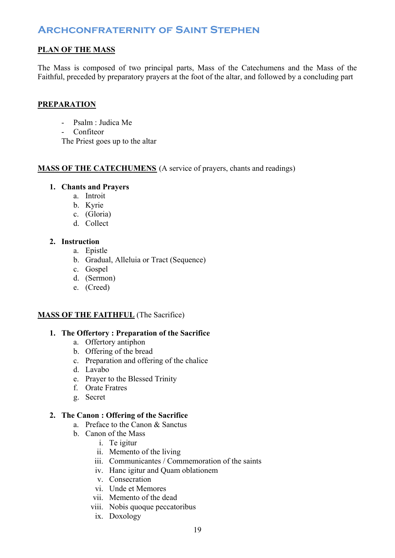## **PLAN OF THE MASS**

The Mass is composed of two principal parts, Mass of the Catechumens and the Mass of the Faithful, preceded by preparatory prayers at the foot of the altar, and followed by a concluding part

### **PREPARATION**

- Psalm : Judica Me
- Confiteor

The Priest goes up to the altar

### **MASS OF THE CATECHUMENS** (A service of prayers, chants and readings)

### **1. Chants and Prayers**

- a. Introit
- b. Kyrie
- c. (Gloria)
- d. Collect

### **2. Instruction**

- a. Epistle
- b. Gradual, Alleluia or Tract (Sequence)
- c. Gospel
- d. (Sermon)
- e. (Creed)

### **MASS OF THE FAITHFUL** (The Sacrifice)

### **1. The Offertory : Preparation of the Sacrifice**

- a. Offertory antiphon
- b. Offering of the bread
- c. Preparation and offering of the chalice
- d. Lavabo
- e. Prayer to the Blessed Trinity
- f. Orate Fratres
- g. Secret

### **2. The Canon : Offering of the Sacrifice**

- a. Preface to the Canon & Sanctus
- b. Canon of the Mass
	- i. Te igitur
	- ii. Memento of the living
	- iii. Communicantes / Commemoration of the saints
	- iv. Hanc igitur and Quam oblationem
	- v. Consecration
	- vi. Unde et Memores
	- vii. Memento of the dead
	- viii. Nobis quoque peccatoribus
		- ix. Doxology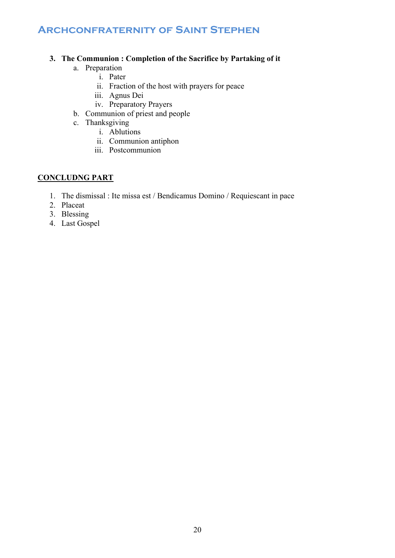### **3. The Communion : Completion of the Sacrifice by Partaking of it**

- a. Preparation
	- i. Pater
	- ii. Fraction of the host with prayers for peace
	- iii. Agnus Dei
	- iv. Preparatory Prayers
- b. Communion of priest and people
- c. Thanksgiving
	- i. Ablutions
	- ii. Communion antiphon
	- iii. Postcommunion

### **CONCLUDNG PART**

- 1. The dismissal : Ite missa est / Bendicamus Domino / Requiescant in pace
- 2. Placeat
- 3. Blessing
- 4. Last Gospel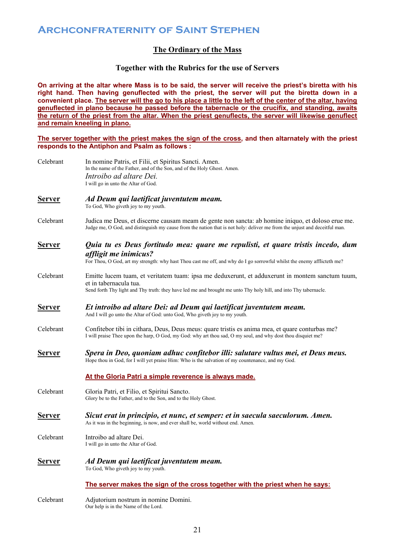### **The Ordinary of the Mass**

### **Together with the Rubrics for the use of Servers**

**On arriving at the altar where Mass is to be said, the server will receive the priest's biretta with his**  right hand. Then having genuflected with the priest, the server will put the biretta down in a **convenient place. The server will the go to his place a little to the left of the center of the altar, having genuflected in plano because he passed before the tabernacle or the crucifix, and standing, awaits the return of the priest from the altar. When the priest genuflects, the server will likewise genuflect and remain kneeling in plano.**

**The server together with the priest makes the sign of the cross, and then altarnately with the priest responds to the Antiphon and Psalm as follows :**

| Celebrant     | In nomine Patris, et Filii, et Spiritus Sancti. Amen.<br>In the name of the Father, and of the Son, and of the Holy Ghost. Amen.                                                                                                              |
|---------------|-----------------------------------------------------------------------------------------------------------------------------------------------------------------------------------------------------------------------------------------------|
|               | Introibo ad altare Dei.<br>I will go in unto the Altar of God.                                                                                                                                                                                |
| <u>Server</u> | Ad Deum qui laetificat juventutem meam.<br>To God, Who giveth joy to my youth.                                                                                                                                                                |
| Celebrant     | Judica me Deus, et discerne causam meam de gente non sancta: ab homine iniquo, et doloso erue me.<br>Judge me, O God, and distinguish my cause from the nation that is not holy: deliver me from the unjust and deceitful man.                |
| <b>Server</b> | Quia tu es Deus fortitudo mea: quare me repulisti, et quare tristis incedo, dum<br>affligit me inimicus?<br>For Thou, O God, art my strength: why hast Thou cast me off, and why do I go sorrowful whilst the enemy afflicteth me?            |
| Celebrant     | Emitte lucem tuam, et veritatem tuam: ipsa me deduxerunt, et adduxerunt in montem sanctum tuum,<br>et in tabernacula tua.<br>Send forth Thy light and Thy truth: they have led me and brought me unto Thy holy hill, and into Thy tabernacle. |
| <u>Server</u> | Et introibo ad altare Dei: ad Deum qui laetificat juventutem meam.<br>And I will go unto the Altar of God: unto God, Who giveth joy to my youth.                                                                                              |
| Celebrant     | Confitebor tibi in cithara, Deus, Deus meus: quare tristis es anima mea, et quare conturbas me?<br>I will praise Thee upon the harp, O God, my God: why art thou sad, O my soul, and why dost thou disquiet me?                               |
| <b>Server</b> | Spera in Deo, quoniam adhuc confitebor illi: salutare vultus mei, et Deus meus.<br>Hope thou in God, for I will yet praise Him: Who is the salvation of my countenance, and my God.                                                           |
|               | At the Gloria Patri a simple reverence is always made.                                                                                                                                                                                        |
| Celebrant     | Gloria Patri, et Filio, et Spiritui Sancto.<br>Glory be to the Father, and to the Son, and to the Holy Ghost.                                                                                                                                 |
| <u>Server</u> | Sicut erat in principio, et nunc, et semper: et in saecula saeculorum. Amen.<br>As it was in the beginning, is now, and ever shall be, world without end. Amen.                                                                               |
| Celebrant     | Introibo ad altare Dei.<br>I will go in unto the Altar of God.                                                                                                                                                                                |
| <b>Server</b> | Ad Deum qui laetificat juventutem meam.<br>To God, Who giveth joy to my youth.                                                                                                                                                                |
|               | The server makes the sign of the cross together with the priest when he says:                                                                                                                                                                 |
| Celebrant     | Adjutorium nostrum in nomine Domini.<br>Our help is in the Name of the Lord.                                                                                                                                                                  |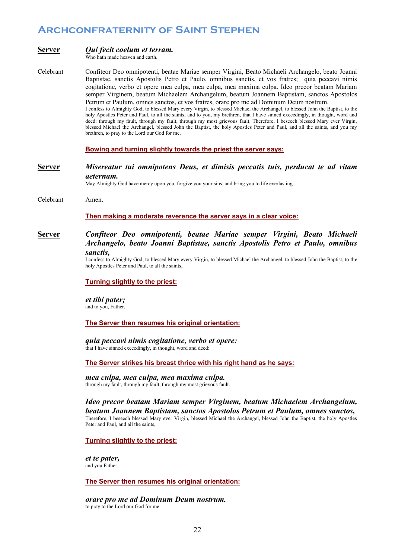| <u>Server</u> | Qui fecit coelum et terram.<br>Who hath made heaven and earth.                                                                                                                                                                                                                                                                                                                                                                                                                                                                                                                                                                                                                                                                                                                                                                                                                                                                                                                                                                                                              |  |  |
|---------------|-----------------------------------------------------------------------------------------------------------------------------------------------------------------------------------------------------------------------------------------------------------------------------------------------------------------------------------------------------------------------------------------------------------------------------------------------------------------------------------------------------------------------------------------------------------------------------------------------------------------------------------------------------------------------------------------------------------------------------------------------------------------------------------------------------------------------------------------------------------------------------------------------------------------------------------------------------------------------------------------------------------------------------------------------------------------------------|--|--|
| Celebrant     | Confiteor Deo omnipotenti, beatae Mariae semper Virgini, Beato Michaeli Archangelo, beato Joanni<br>Baptistae, sanctis Apostolis Petro et Paulo, omnibus sanctis, et vos fratres; quia peccavi nimis<br>cogitatione, verbo et opere mea culpa, mea culpa, mea maxima culpa. Ideo precor beatam Mariam<br>semper Virginem, beatum Michaelem Archangelum, beatum Joannem Baptistam, sanctos Apostolos<br>Petrum et Paulum, omnes sanctos, et vos fratres, orare pro me ad Dominum Deum nostrum.<br>I confess to Almighty God, to blessed Mary every Virgin, to blessed Michael the Archangel, to blessed John the Baptist, to the<br>holy Apostles Peter and Paul, to all the saints, and to you, my brethren, that I have sinned exceedingly, in thought, word and<br>deed: through my fault, through my fault, through my most grievous fault. Therefore, I beseech blessed Mary ever Virgin,<br>blessed Michael the Archangel, blessed John the Baptist, the holy Apostles Peter and Paul, and all the saints, and you my<br>brethren, to pray to the Lord our God for me. |  |  |
|               | Bowing and turning slightly towards the priest the server says:                                                                                                                                                                                                                                                                                                                                                                                                                                                                                                                                                                                                                                                                                                                                                                                                                                                                                                                                                                                                             |  |  |
| <b>Server</b> | Misereatur tui omnipotens Deus, et dimisis peccatis tuis, perducat te ad vitam<br><i>aeternam.</i><br>May Almighty God have mercy upon you, forgive you your sins, and bring you to life everlasting.                                                                                                                                                                                                                                                                                                                                                                                                                                                                                                                                                                                                                                                                                                                                                                                                                                                                       |  |  |
| Celebrant     | Amen.                                                                                                                                                                                                                                                                                                                                                                                                                                                                                                                                                                                                                                                                                                                                                                                                                                                                                                                                                                                                                                                                       |  |  |
|               | Then making a moderate reverence the server says in a clear voice:                                                                                                                                                                                                                                                                                                                                                                                                                                                                                                                                                                                                                                                                                                                                                                                                                                                                                                                                                                                                          |  |  |
| <u>Server</u> | Confiteor Deo omnipotenti, beatae Mariae semper Virgini, Beato Michaeli<br>Archangelo, beato Joanni Baptistae, sanctis Apostolis Petro et Paulo, omnibus<br>sanctis,<br>I confess to Almighty God, to blessed Mary every Virgin, to blessed Michael the Archangel, to blessed John the Baptist, to the<br>holy Apostles Peter and Paul, to all the saints,                                                                                                                                                                                                                                                                                                                                                                                                                                                                                                                                                                                                                                                                                                                  |  |  |
|               | <b>Turning slightly to the priest:</b>                                                                                                                                                                                                                                                                                                                                                                                                                                                                                                                                                                                                                                                                                                                                                                                                                                                                                                                                                                                                                                      |  |  |
|               | et tibi pater;<br>and to you, Father,                                                                                                                                                                                                                                                                                                                                                                                                                                                                                                                                                                                                                                                                                                                                                                                                                                                                                                                                                                                                                                       |  |  |
|               | The Server then resumes his original orientation:                                                                                                                                                                                                                                                                                                                                                                                                                                                                                                                                                                                                                                                                                                                                                                                                                                                                                                                                                                                                                           |  |  |
|               | quia peccavi nimis cogitatione, verbo et opere:<br>that I have sinned exceedingly, in thought, word and deed:                                                                                                                                                                                                                                                                                                                                                                                                                                                                                                                                                                                                                                                                                                                                                                                                                                                                                                                                                               |  |  |
|               | The Server strikes his breast thrice with his right hand as he says:                                                                                                                                                                                                                                                                                                                                                                                                                                                                                                                                                                                                                                                                                                                                                                                                                                                                                                                                                                                                        |  |  |

*mea culpa, mea culpa, mea maxima culpa.* through my fault, through my fault, through my most grievous fault.

*Ideo precor beatam Mariam semper Virginem, beatum Michaelem Archangelum, beatum Joannem Baptistam, sanctos Apostolos Petrum et Paulum, omnes sanctos,*  Therefore, I beseech blessed Mary ever Virgin, blessed Michael the Archangel, blessed John the Baptist, the holy Apostles Peter and Paul, and all the saints,

### **Turning slightly to the priest:**

*et te pater,*  and you Father,

**The Server then resumes his original orientation:**

### *orare pro me ad Dominum Deum nostrum.*

to pray to the Lord our God for me.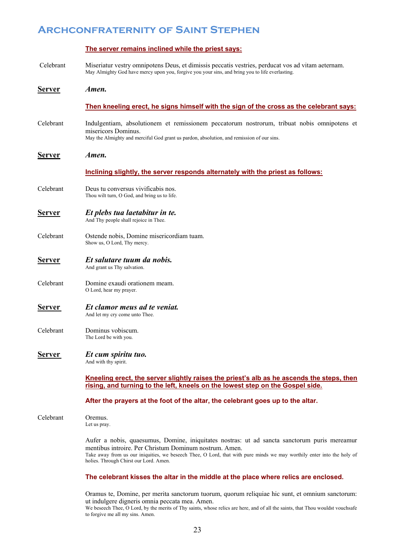|               | The server remains inclined while the priest says:                                                                                                                                                                                                                                                                         |
|---------------|----------------------------------------------------------------------------------------------------------------------------------------------------------------------------------------------------------------------------------------------------------------------------------------------------------------------------|
| Celebrant     | Miseriatur vestry omnipotens Deus, et dimissis peccatis vestries, perducat vos ad vitam aeternam.<br>May Almighty God have mercy upon you, forgive you your sins, and bring you to life everlasting.                                                                                                                       |
| <u>Server</u> | Amen.                                                                                                                                                                                                                                                                                                                      |
|               | Then kneeling erect, he signs himself with the sign of the cross as the celebrant says:                                                                                                                                                                                                                                    |
| Celebrant     | Indulgentiam, absolutionem et remissionem peccatorum nostrorum, tribuat nobis omnipotens et<br>misericors Dominus.<br>May the Almighty and merciful God grant us pardon, absolution, and remission of our sins.                                                                                                            |
| <b>Server</b> | Amen.                                                                                                                                                                                                                                                                                                                      |
|               | Inclining slightly, the server responds alternately with the priest as follows:                                                                                                                                                                                                                                            |
| Celebrant     | Deus tu conversus vivificabis nos.<br>Thou wilt turn, O God, and bring us to life.                                                                                                                                                                                                                                         |
| <u>Server</u> | Et plebs tua laetabitur in te.<br>And Thy people shall rejoice in Thee.                                                                                                                                                                                                                                                    |
| Celebrant     | Ostende nobis, Domine misericordiam tuam.<br>Show us, O Lord, Thy mercy.                                                                                                                                                                                                                                                   |
| <u>Server</u> | Et salutare tuum da nobis.<br>And grant us Thy salvation.                                                                                                                                                                                                                                                                  |
| Celebrant     | Domine exaudi orationem meam.<br>O Lord, hear my prayer.                                                                                                                                                                                                                                                                   |
| <u>Server</u> | Et clamor meus ad te veniat.<br>And let my cry come unto Thee.                                                                                                                                                                                                                                                             |
| Celebrant     | Dominus vobiscum.<br>The Lord be with you.                                                                                                                                                                                                                                                                                 |
| <b>Server</b> | Et cum spiritu tuo.<br>And with thy spirit.                                                                                                                                                                                                                                                                                |
|               | Kneeling erect, the server slightly raises the priest's alb as he ascends the steps, then<br>rising, and turning to the left, kneels on the lowest step on the Gospel side.                                                                                                                                                |
|               | After the prayers at the foot of the altar, the celebrant goes up to the altar.                                                                                                                                                                                                                                            |
|               |                                                                                                                                                                                                                                                                                                                            |
| Celebrant     | Oremus.<br>Let us pray.                                                                                                                                                                                                                                                                                                    |
|               | Aufer a nobis, quaesumus, Domine, iniquitates nostras: ut ad sancta sanctorum puris mereamur<br>mentibus introire. Per Christum Dominum nostrum. Amen.<br>Take away from us our iniquities, we beseech Thee, O Lord, that with pure minds we may worthily enter into the holy of<br>holies. Through Chirst our Lord. Amen. |
|               | The celebrant kisses the altar in the middle at the place where relics are enclosed.                                                                                                                                                                                                                                       |

Oramus te, Domine, per merita sanctorum tuorum, quorum reliquiae hic sunt, et omnium sanctorum: ut indulgere digneris omnia peccata mea. Amen. We beseech Thee, O Lord, by the merits of Thy saints, whose relics are here, and of all the saints, that Thou wouldst vouchsafe

to forgive me all my sins. Amen.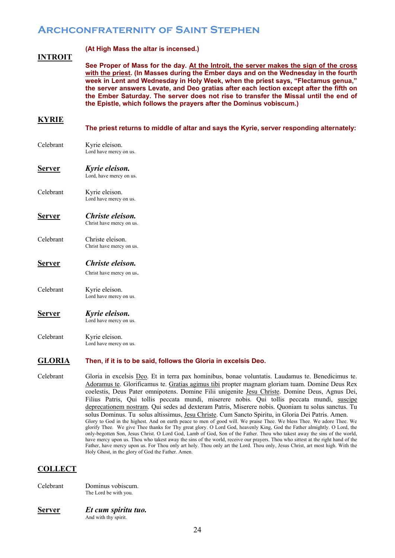### **INTROIT**

**(At High Mass the altar is incensed.)**

**See Proper of Mass for the day. At the Introit, the server makes the sign of the cross with the priest. (In Masses during the Ember days and on the Wednesday in the fourth week in Lent and Wednesday in Holy Week, when the priest says, "Flectamus genua," the server answers Levate, and Deo gratias after each lection except after the fifth on the Ember Saturday. The server does not rise to transfer the Missal until the end of the Epistle, which follows the prayers after the Dominus vobiscum.)**

### **KYRIE**

**The priest returns to middle of altar and says the Kyrie, server responding alternately:**

- Celebrant Kyrie eleison. Lord have mercy on us.
- **Server** *Kyrie eleison.* Lord, have mercy on us.
- Celebrant Kyrie eleison. Lord have mercy on us.
- **Server** *Christe eleison.* Christ have mercy on us.
- Celebrant Christe eleison. Christ have mercy on us.

### **Server** *Christe eleison.*

Christ have mercy on us.

Celebrant Kyrie eleison. Lord have mercy on us.

### **Server** *Kyrie eleison.* Lord have mercy on us.

Celebrant Kyrie eleison. Lord have mercy on us.

### **GLORIA Then, if it is to be said, follows the Gloria in excelsis Deo.**

Celebrant Gloria in excelsis Deo. Et in terra pax hominibus, bonae voluntatis. Laudamus te. Benedicimus te. Adoramus te. Glorificamus te. Gratias agimus tibi propter magnam gloriam tuam. Domine Deus Rex coelestis, Deus Pater omnipotens. Domine Filii unigenite Jesu Christe. Domine Deus, Agnus Dei, Filius Patris, Qui tollis peccata mundi, miserere nobis. Qui tollis peccata mundi, suscipe deprecationem nostram. Qui sedes ad dexteram Patris, Miserere nobis. Quoniam tu solus sanctus. Tu solus Dominus. Tu solus altissimus, Jesu Christe. Cum Sancto Spiritu, in Gloria Dei Patris. Amen. Glory to God in the highest. And on earth peace to men of good will. We praise Thee. We bless Thee. We adore Thee. We glorify Thee. We give Thee thanks for Thy great glory. O Lord God, heavenly King, God the Father almightly. O Lord, the only-begotten Son, Jesus Christ. O Lord God, Lamb of God, Son of the Father. Thou who takest away the sins of the world, have mercy upon us. Thou who takest away the sins of the world, receive our prayers. Thou who sittest at the right hand of the Father, have mercy upon us. For Thou only art holy. Thou only art the Lord. Thou only, Jesus Christ, art most high. With the Holy Ghost, in the glory of God the Father. Amen.

### **COLLECT**

Celebrant Dominus vobiscum. The Lord be with you.

### **Server** *Et cum spiritu tuo.* And with thy spirit.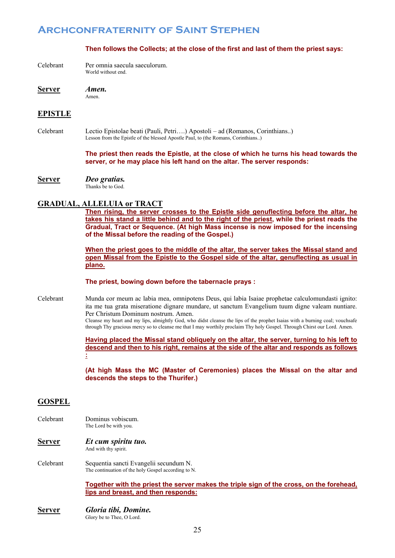### **Then follows the Collects; at the close of the first and last of them the priest says:**

Celebrant Per omnia saecula saeculorum. World without end.

**Server** *Amen.* Amen.

### **EPISTLE**

Celebrant Lectio Epistolae beati (Pauli, Petri….) Apostoli – ad (Romanos, Corinthians..) Lesson from the Epistle of the blessed Apostle Paul, to (the Romans, Corinthians..)

> **The priest then reads the Epistle, at the close of which he turns his head towards the server, or he may place his left hand on the altar. The server responds:**

**Server** *Deo gratias.* Thanks be to God.

### **GRADUAL, ALLELUIA or TRACT**

**Then rising, the server crosses to the Epistle side genuflecting before the altar, he takes his stand a little behind and to the right of the priest, while the priest reads the Gradual, Tract or Sequence. (At high Mass incense is now imposed for the incensing of the Missal before the reading of the Gospel.)**

**When the priest goes to the middle of the altar, the server takes the Missal stand and open Missal from the Epistle to the Gospel side of the altar, genuflecting as usual in plano.**

### **The priest, bowing down before the tabernacle prays :**

Celebrant Munda cor meum ac labia mea, omnipotens Deus, qui labia Isaiae prophetae calculomundasti ignito: ita me tua grata miseratione dignare mundare, ut sanctum Evangelium tuum digne valeam nuntiare. Per Christum Dominum nostrum. Amen.

Cleanse my heart and my lips, almightly God, who didst cleanse the lips of the prophet Isaias with a burning coal; vouchsafe through Thy gracious mercy so to cleanse me that I may worthily proclaim Thy holy Gospel. Through Chirst our Lord. Amen.

### **Having placed the Missal stand obliquely on the altar, the server, turning to his left to descend and then to his right, remains at the side of the altar and responds as follows :**

**(At high Mass the MC (Master of Ceremonies) places the Missal on the altar and descends the steps to the Thurifer.)** 

### **GOSPEL**

- Celebrant Dominus vobiscum. The Lord be with you.
- **Server** *Et cum spiritu tuo.* And with thy spirit.
- Celebrant Sequentia sancti Evangelii secundum N. The continuation of the holy Gospel according to N.

**Together with the priest the server makes the triple sign of the cross, on the forehead, lips and breast, and then responds:** 

**Server** *Gloria tibi, Domine.* Glory be to Thee, O Lord.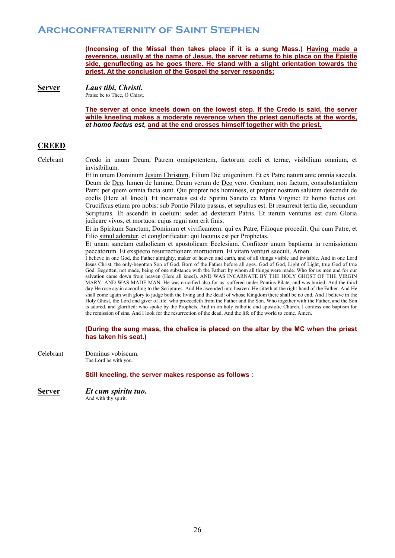**(Incensing of the Missal then takes place if it is a sung Mass.) Having made a reverence, usually at the name of Jesus, the server returns to his place on the Epistle side, genuflecting as he goes there. He stand with a slight orientation towards the priest. At the conclusion of the Gospel the server responds:**

**Server** *Laus tibi, Christi.*

Praise be to Thee, O Chirst.

**The server at once kneels down on the lowest step. If the Credo is said, the server while kneeling makes a moderate reverence when the priest genuflects at the words,** *et homo factus est***, and at the end crosses himself together with the priest.**

## **CREED**

Celebrant Credo in unum Deum, Patrem omnipotentem, factorum coeli et terrae, visibilium omnium, et invisibilium.

> Et in unum Dominum Jesum Christum, Filium Die unigenitum. Et ex Patre natum ante omnia saecula. Deum de Deo, lumen de lumine, Deum verum de Deo vero. Genitum, non factum, consubstantialem Patri: per quem omnia facta sunt. Qui propter nos hominess, et propter nostram salutem descendit de coelis (Here all kneel). Et incarnatus est de Spiritu Sancto ex Maria Virgine: Et homo factus est. Crucifixus etiam pro nobis: sub Pontio Pilato passus, et sepultus est. Et resurrexit tertia die, secundum Scripturas. Et ascendit in coelum: sedet ad dexteram Patris. Et iterum venturus est cum Gloria judicare vivos, et mortuos: cujus regni non erit finis.

> Et in Spiritum Sanctum, Dominum et vivificantem: qui ex Patre, Filioque procedit. Qui cum Patre, et Filio simul adoratur, et conglorificatur: qui locutus est per Prophetas.

> Et unam sanctam catholicam et apostolicam Ecclesiam. Confiteor unum baptisma in remissionem peccatorum. Et exspecto resurrectionem mortuorum. Et vitam venturi saeculi. Amen.

> I believe in one God, the Father almighty, maker of heaven and earth, and of all things visible and invisible. And in one Lord Jesus Christ, the only-begotten Son of God. Born of the Father before all ages. God of God, Light of Light, true God of true God. Begotten, not made, being of one substance with the Father: by whom all things were made. Who for us men and for our salvation came down from heaven (Here all kneel). AND WAS INCARNATE BY THE HOLY GHOST OF THE VIRGIN MARY: AND WAS MADE MAN. He was crucified also for us: suffered under Pontius Pilate, and was buried. And the third day He rose again according to the Scriptures. And He ascended into heaven: He sitteth at the right hand of the Father. And He shall come again with glory to judge both the living and the dead: of whose Kingdom there shall be no end. And I believe in the Holy Ghost, the Lord and giver of life: who proceedeth from the Father and the Son. Who together with the Father, and the Son is adored, and glorified: who spoke by the Prophets. And in on holy catholic and apostolic Church. I confess one baptism for the remission of sins. And I look for the resurrection of the dead. And the life of the world to come. Amen.

### **(During the sung mass, the chalice is placed on the altar by the MC when the priest has taken his seat.)**

Celebrant Dominus vobiscum. The Lord be with you.

**Still kneeling, the server makes response as follows :**

**Server** *Et cum spiritu tuo.* And with thy spirit.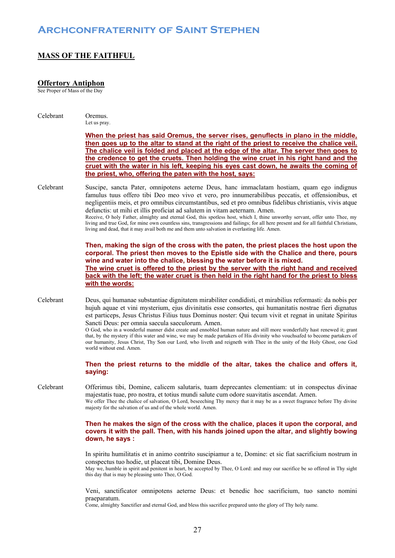## **MASS OF THE FAITHFUL**

### **Offertory Antiphon**

See Proper of Mass of the Day

| Celebrant | Oremus.<br>Let us pray.                                                                                                                                                                                                                                                                                                                                                                                                                                                                                                                                                                                                                                                                                                                                                                             |
|-----------|-----------------------------------------------------------------------------------------------------------------------------------------------------------------------------------------------------------------------------------------------------------------------------------------------------------------------------------------------------------------------------------------------------------------------------------------------------------------------------------------------------------------------------------------------------------------------------------------------------------------------------------------------------------------------------------------------------------------------------------------------------------------------------------------------------|
|           | When the priest has said Oremus, the server rises, genuflects in plano in the middle,<br>then goes up to the altar to stand at the right of the priest to receive the chalice veil.<br>The chalice veil is folded and placed at the edge of the altar. The server then goes to<br>the credence to get the cruets. Then holding the wine cruet in his right hand and the<br>cruet with the water in his left, keeping his eyes cast down, he awaits the coming of<br>the priest, who, offering the paten with the host, says:                                                                                                                                                                                                                                                                        |
| Celebrant | Suscipe, sancta Pater, omnipotens aeterne Deus, hanc immaclatam hostiam, quam ego indignus<br>famulus tuus offero tibi Deo meo vivo et vero, pro innumerabilibus peccatis, et offensionibus, et<br>negligentiis meis, et pro omnibus circumstantibus, sed et pro omnibus fidelibus christianis, vivis atque<br>defunctis: ut mihi et illis proficiat ad salutem in vitam aeternam. Amen.<br>Receive, O holy Father, almighty and eternal God, this spotless host, which I, thine unworthy servant, offer unto Thee, my<br>living and true God, for mine own countless sins, transgressions and failings; for all here present and for all faithful Christians,<br>living and dead, that it may avail both me and them unto salvation in everlasting life. Amen.                                     |
|           | Then, making the sign of the cross with the paten, the priest places the host upon the<br>corporal. The priest then moves to the Epistle side with the Chalice and there, pours<br>wine and water into the chalice, blessing the water before it is mixed.                                                                                                                                                                                                                                                                                                                                                                                                                                                                                                                                          |
|           | The wine cruet is offered to the priest by the server with the right hand and received                                                                                                                                                                                                                                                                                                                                                                                                                                                                                                                                                                                                                                                                                                              |
|           | back with the left; the water cruet is then held in the right hand for the priest to bless                                                                                                                                                                                                                                                                                                                                                                                                                                                                                                                                                                                                                                                                                                          |
|           | with the words:                                                                                                                                                                                                                                                                                                                                                                                                                                                                                                                                                                                                                                                                                                                                                                                     |
| Celebrant | Deus, qui humanae substantiae dignitatem mirabiliter condidisti, et mirabilius reformasti: da nobis per<br>hujuh aquae et vini mysterium, ejus divinitatis esse consortes, qui humanitatis nostrae fieri dignatus<br>est particeps, Jesus Christus Filius tuus Dominus noster: Qui tecum vivit et regnat in unitate Spiritus<br>Sancti Deus: per omnia saecula saeculorum. Amen.<br>O God, who in a wonderful manner didst create and ennobled human nature and still more wonderfully hast renewed it; grant<br>that, by the mystery if this water and wine, we may be made partakers of His divinity who vouchsafed to become partakers of<br>our humanity, Jesus Christ, Thy Son our Lord, who liveth and reigneth with Thee in the unity of the Holy Ghost, one God<br>world without end. Amen. |
|           | Then the priest returns to the middle of the altar, takes the chalice and offers it,<br>saying:                                                                                                                                                                                                                                                                                                                                                                                                                                                                                                                                                                                                                                                                                                     |
| Celebrant | Offerimus tibi, Domine, calicem salutaris, tuam deprecantes clementiam: ut in conspectus divinae<br>majestatis tuae, pro nostra, et totius mundi salute cum odore suavitatis ascendat. Amen.<br>We offer Thee the chalice of salvation, O Lord, beseeching Thy mercy that it may be as a sweet fragrance before Thy divine<br>majesty for the salvation of us and of the whole world. Amen.                                                                                                                                                                                                                                                                                                                                                                                                         |
|           | Then he makes the sign of the cross with the chalice, places it upon the corporal, and<br>covers it with the pall. Then, with his hands joined upon the altar, and slightly bowing<br>down, he says :                                                                                                                                                                                                                                                                                                                                                                                                                                                                                                                                                                                               |
|           | In spiritu humilitatis et in animo contrito suscipiamur a te, Domine: et sic fiat sacrificium nostrum in<br>conspectus tuo hodie, ut placeat tibi, Domine Deus.<br>May we, humble in spirit and penitent in heart, be accepted by Thee, O Lord: and may our sacrifice be so offered in Thy sight<br>this day that is may be pleasing unto Thee, O God.                                                                                                                                                                                                                                                                                                                                                                                                                                              |

Veni, sanctificator omnipotens aeterne Deus: et benedic hoc sacrificium, tuo sancto nomini praeparatum.

Come, almighty Sanctifier and eternal God, and bless this sacrifice prepared unto the glory of Thy holy name.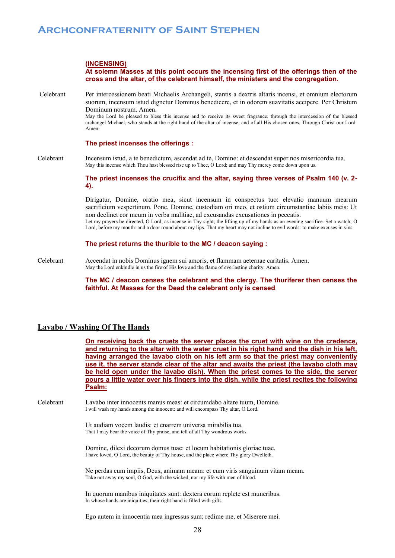### **(INCENSING)**

### **At solemn Masses at this point occurs the incensing first of the offerings then of the cross and the altar, of the celebrant himself, the ministers and the congregation.**

Celebrant Per intercessionem beati Michaelis Archangeli, stantis a dextris altaris incensi, et omnium electorum suorum, incensum istud dignetur Dominus benedicere, et in odorem suavitatis accipere. Per Christum Dominum nostrum. Amen. May the Lord be pleased to bless this incense and to receive its sweet fragrance, through the intercession of the blessed archangel Michael, who stands at the right hand of the altar of incense, and of all His chosen ones. Through Christ our Lord. Amen.

### **The priest incenses the offerings :**

Celebrant Incensum istud, a te benedictum, ascendat ad te, Domine: et descendat super nos misericordia tua. May this incense which Thou hast blessed rise up to Thee, O Lord; and may Thy mercy come down upon us.

> **The priest incenses the crucifix and the altar, saying three verses of Psalm 140 (v. 2- 4).**

> Dirigatur, Domine, oratio mea, sicut incensum in conspectus tuo: elevatio manuum mearum sacrificium vespertinum. Pone, Domine, custodiam ori meo, et ostium circumstantiae labiis meis: Ut non declinet cor meum in verba malitiae, ad excusandas excusationes in peccatis. Let my prayers be directed, O Lord, as incense in Thy sight; the lifting up of my hands as an evening sacrifice. Set a watch, O

> Lord, before my mouth: and a door round about my lips. That my heart may not incline to evil words: to make excuses in sins.

### **The priest returns the thurible to the MC / deacon saying :**

Celebrant Accendat in nobis Dominus ignem sui amoris, et flammam aeternae caritatis. Amen. May the Lord enkindle in us the fire of His love and the flame of everlasting charity. Amen.

> **The MC / deacon censes the celebrant and the clergy. The thuriferer then censes the faithful. At Masses for the Dead the celebrant only is censed**.

### **Lavabo / Washing Of The Hands**

**On receiving back the cruets the server places the cruet with wine on the credence, and returning to the altar with the water cruet in his right hand and the dish in his left, having arranged the lavabo cloth on his left arm so that the priest may conveniently use it, the server stands clear of the altar and awaits the priest (the lavabo cloth may be held open under the lavabo dish). When the priest comes to the side, the server pours a little water over his fingers into the dish, while the priest recites the following Psalm:** 

Celebrant Lavabo inter innocents manus meas: et circumdabo altare tuum, Domine. I will wash my hands among the innocent: and will encompass Thy altar, O Lord.

> Ut audiam vocem laudis: et enarrem universa mirabilia tua. That I may hear the voice of Thy praise, and tell of all Thy wondrous works.

Domine, dilexi decorum domus tuae: et locum habitationis gloriae tuae. I have loved, O Lord, the beauty of Thy house, and the place where Thy glory Dwelleth.

Ne perdas cum impiis, Deus, animam meam: et cum viris sanguinum vitam meam. Take not away my soul, O God, with the wicked, nor my life with men of blood.

In quorum manibus iniquitates sunt: dextera eorum replete est muneribus. In whose hands are iniquities; their right hand is filled with gifts.

Ego autem in innocentia mea ingressus sum: redime me, et Miserere mei.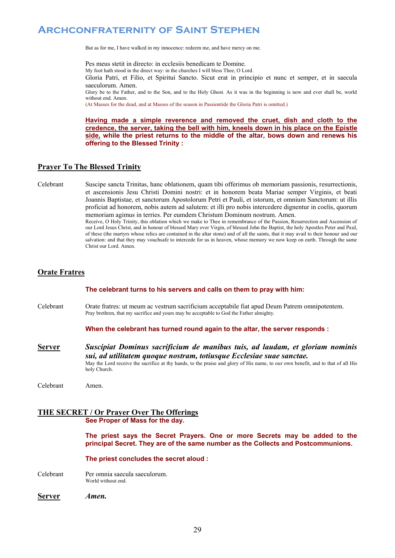But as for me, I have walked in my innocence: redeem me, and have mercy on me.

Pes meus stetit in directo: in ecclesiis benedicam te Domine. My foot hath stood in the direct way: in the churches I will bless Thee, O Lord. Gloria Patri, et Filio, et Spiritui Sancto. Sicut erat in principio et nunc et semper, et in saecula saeculorum. Amen. Glory be to the Father, and to the Son, and to the Holy Ghost. As it was in the beginning is now and ever shall be, world without end. Amen. (At Masses for the dead, and at Masses of the season in Passiontide the Gloria Patri is omitted.)

**Having made a simple reverence and removed the cruet, dish and cloth to the credence, the server, taking the bell with him, kneels down in his place on the Epistle side, while the priest returns to the middle of the altar, bows down and renews his offering to the Blessed Trinity :** 

### **Prayer To The Blessed Trinity**

Celebrant Suscipe sancta Trinitas, hanc oblationem, quam tibi offerimus ob memoriam passionis, resurrectionis, et ascensionis Jesu Christi Domini nostri: et in honorem beata Mariae semper Virginis, et beati Joannis Baptistae, et sanctorum Apostolorum Petri et Pauli, et istorum, et omnium Sanctorum: ut illis proficiat ad honorem, nobis autem ad salutem: et illi pro nobis intercedere dignentur in coelis, quorum memoriam agimus in terries. Per eumdem Christum Dominum nostrum. Amen.

Receive, O Holy Trinity, this oblation which we make to Thee in remembrance of the Passion, Resurrection and Ascension of our Lord Jesus Christ, and in honour of blessed Mary ever Virgin, of blessed John the Baptist, the holy Apostles Peter and Paul, of these (the martyrs whose relics are contained in the altar stone) and of all the saints, that it may avail to their honour and our salvation: and that they may vouchsafe to intercede for us in heaven, whose memory we now keep on earth. Through the same Christ our Lord. Amen.

### **Orate Fratres**

**The celebrant turns to his servers and calls on them to pray with him:**

Celebrant Orate fratres: ut meum ac vestrum sacrificium acceptabile fiat apud Deum Patrem omnipotentem. Pray brethren, that my sacrifice and yours may be acceptable to God the Father almighty.

**When the celebrant has turned round again to the altar, the server responds :**

**Server** *Suscipiat Dominus sacrificium de manibus tuis, ad laudam, et gloriam nominis sui, ad utilitatem quoque nostram, totiusque Ecclesiae suae sanctae.* May the Lord receive the sacrifice at thy hands, to the praise and glory of His name, to our own benefit, and to that of all His holy Church.

Celebrant Amen.

### **THE SECRET / Or Prayer Over The Offerings See Proper of Mass for the day.**

**The priest says the Secret Prayers. One or more Secrets may be added to the principal Secret. They are of the same number as the Collects and Postcommunions.**

**The priest concludes the secret aloud :**

Celebrant Per omnia saecula saeculorum. World without end.

**Server** *Amen.*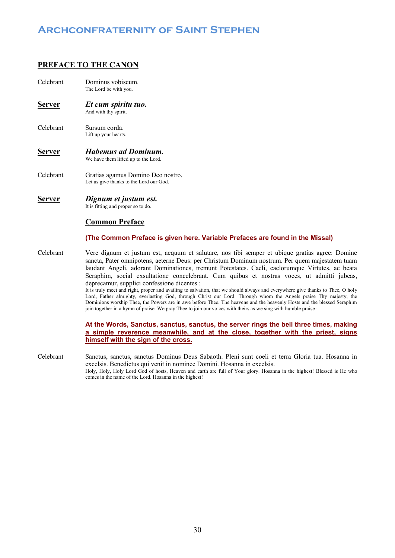### **PREFACE TO THE CANON**

- Celebrant Dominus vobiscum. The Lord be with you.
- **Server** *Et cum spiritu tuo.* And with thy spirit.
- Celebrant Sursum corda. Lift up your hearts.
- **Server** *Habemus ad Dominum.* We have them lifted up to the Lord.
- Celebrant Gratias agamus Domino Deo nostro. Let us give thanks to the Lord our God.
- **Server** *Dignum et justum est.* It is fitting and proper so to do.

### **Common Preface**

### **(The Common Preface is given here. Variable Prefaces are found in the Missal)**

Celebrant Vere dignum et justum est, aequum et salutare, nos tibi semper et ubique gratias agree: Domine sancta, Pater omnipotens, aeterne Deus: per Christum Dominum nostrum. Per quem majestatem tuam laudant Angeli, adorant Dominationes, tremunt Potestates. Caeli, caelorumque Virtutes, ac beata Seraphim, social exsultatione concelebrant. Cum quibus et nostras voces, ut admitti jubeas, deprecamur, supplici confessione dicentes :

It is truly meet and right, proper and availing to salvation, that we should always and everywhere give thanks to Thee, O holy Lord, Father almighty, everlasting God, through Christ our Lord. Through whom the Angels praise Thy majesty, the Dominions worship Thee, the Powers are in awe before Thee. The heavens and the heavenly Hosts and the blessed Seraphim join together in a hymn of praise. We pray Thee to join our voices with theirs as we sing with humble praise :

### **At the Words, Sanctus, sanctus, sanctus, the server rings the bell three times, making a simple reverence meanwhile, and at the close, together with the priest, signs himself with the sign of the cross.**

Celebrant Sanctus, sanctus, sanctus Dominus Deus Sabaoth. Pleni sunt coeli et terra Gloria tua. Hosanna in excelsis. Benedictus qui venit in nominee Domini. Hosanna in excelsis. Holy, Holy, Holy Lord God of hosts, Heaven and earth are full of Your glory. Hosanna in the highest! Blessed is He who comes in the name of the Lord. Hosanna in the highest!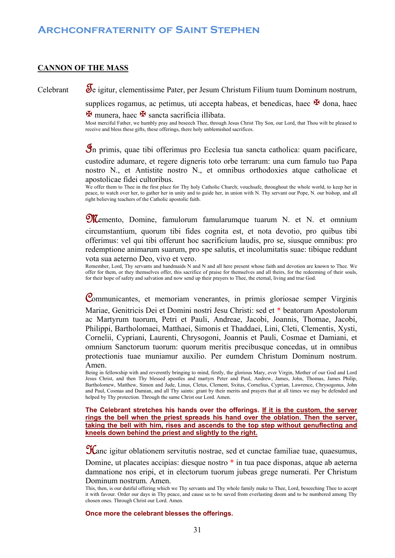### **CANNON OF THE MASS**

Celebrant Se igitur, clementissime Pater, per Jesum Christum Filium tuum Dominum nostrum,

supplices rogamus, ac petimus, uti accepta habeas, et benedicas, haec  $\mathbf{\mathbf{\Sigma}}$  dona, haec

 $\mathbf{\Sigma}$  munera, haec  $\mathbf{\Sigma}$  sancta sacrificia illibata.

Most merciful Father, we humbly pray and beseech Thee, through Jesus Christ Thy Son, our Lord, that Thou wilt be pleased to receive and bless these gifts, these offerings, there holy unblemished sacrifices.

In primis, quae tibi offerimus pro Ecclesia tua sancta catholica: quam pacificare, custodire adumare, et regere digneris toto orbe terrarum: una cum famulo tuo Papa nostro N., et Antistite nostro N., et omnibus orthodoxies atque catholicae et apostolicae fidei cultoribus.

We offer them to Thee in the first place for Thy holy Catholic Church; vouchsafe, throughout the whole world, to keep her in peace, to watch over her, to gather her in unity and to guide her, in union with N. Thy servant our Pope, N. our bishop, and all right believing teachers of the Catholic apostolic faith.

**M**emento, Domine, famulorum famularumque tuarum N. et N. et omnium circumstantium, quorum tibi fides cognita est, et nota devotio, pro quibus tibi offerimus: vel qui tibi offerunt hoc sacrificium laudis, pro se, siusque omnibus: pro redemptione animarum suarum, pro spe salutis, et incolumitatis suae: tibique reddunt

vota sua aeterno Deo, vivo et vero.

 Remember, Lord, Thy servants and handmaids N and N and all here present whose faith and devotion are known to Thee. We offer for them, or they themselves offer, this sacrifice of praise for themselves and all theirs, for the redeeming of their souls, for their hope of safety and salvation and now send up their prayers to Thee, the eternal, living and true God.

Communicantes, et memoriam venerantes, in primis gloriosae semper Virginis Mariae, Genitricis Dei et Domini nostri Jesu Christi: sed et \* beatorum Apostolorum ac Martyrum tuorum, Petri et Pauli, Andreae, Jacobi, Joannis, Thomae, Jacobi, Philippi, Bartholomaei, Matthaei, Simonis et Thaddaei, Lini, Cleti, Clementis, Xysti, Cornelii, Cypriani, Laurenti, Chrysogoni, Joannis et Pauli, Cosmae et Damiani, et omnium Sanctorum tuorum: quorum meritis precibusque concedas, ut in omnibus protectionis tuae muniamur auxilio. Per eumdem Christum Dominum nostrum. Amen.

 Being in fellowship with and reverently bringing to mind, firstly, the glorious Mary, ever Virgin, Mother of our God and Lord Jesus Christ, and then Thy blessed apostles and martyrs Peter and Paul, Andrew, James, John, Thomas, James Philip, Bartholomew, Matthew, Simon and Jude, Linus, Cletus, Clement, Sxitus, Cornelius, Cyprian, Lawrence, Chrysogonus, John and Paul, Cosmas and Damian, and all Thy saints: grant by their merits and prayers that at all times we may be defended and helped by Thy protection. Through the same Christ our Lord. Amen.

**The Celebrant stretches his hands over the offerings. If it is the custom, the server rings the bell when the priest spreads his hand over the oblation. Then the server, taking the bell with him, rises and ascends to the top step without genuflecting and kneels down behind the priest and slightly to the right.** 

Hanc igitur oblationem servitutis nostrae, sed et cunctae familiae tuae, quaesumus,

Domine, ut placates accipias: diesque nostro \* in tua pace disponas, atque ab aeterna damnatione nos eripi, et in electorum tuorum jubeas grege numerati. Per Christum Dominum nostrum. Amen.

### **Once more the celebrant blesses the offerings.**

This, then, is our dutiful offering which we Thy servants and Thy whole family make to Thee, Lord, beseeching Thee to accept it with favour. Order our days in Thy peace, and cause us to be saved from everlasting doom and to be numbered among Thy chosen ones. Through Christ our Lord. Amen.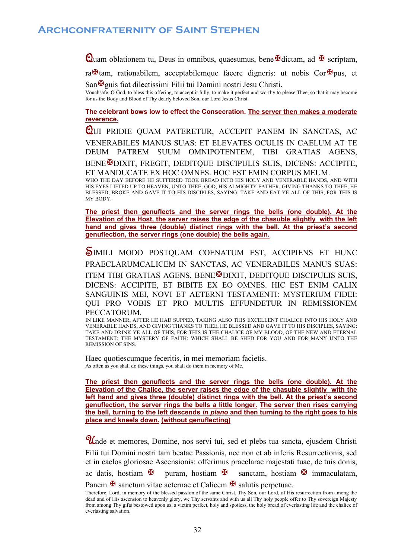Quam oblationem tu, Deus in omnibus, quaesumus, bene  $\mathbb F$ dictam, ad  $\mathbb F$  scriptam,

ra $\mathbf{\mathcal{F}}$ tam, rationabilem, acceptabilemque facere digneris: ut nobis Cor $\mathbf{\mathcal{F}}$ pus, et

 $San$   $\mathbf{\mathbf{F}}$ guis fiat dilectissimi Filii tui Domini nostri Jesu Christi. Vouchsafe, O God, to bless this offering, to accept it fully, to make it perfect and worthy to please Thee, so that it may become for us the Body and Blood of Thy dearly beloved Son, our Lord Jesus Christ.

**The celebrant bows low to effect the Consecration. The server then makes a moderate reverence.** 

QUI PRIDIE QUAM PATERETUR, ACCEPIT PANEM IN SANCTAS, AC VENERABILES MANUS SUAS: ET ELEVATES OCULIS IN CAELUM AT TE DEUM PATREM SUUM OMNIPOTENTEM, TIBI GRATIAS AGENS, BENE<sup>N</sup>DIXIT, FREGIT, DEDITQUE DISCIPULIS SUIS, DICENS: ACCIPITE, ET MANDUCATE EX HOC OMNES. HOC EST EMIN CORPUS MEUM.

WHO THE DAY BEFORE HE SUFFERED TOOK BREAD INTO HIS HOLY AND VENERABLE HANDS, AND WITH HIS EYES LIFTED UP TO HEAVEN, UNTO THEE, GOD, HIS ALMIGHTY FATHER, GIVING THANKS TO THEE, HE BLESSED, BROKE AND GAVE IT TO HIS DISCIPLES, SAYING: TAKE AND EAT YE ALL OF THIS, FOR THIS IS MY BODY.

**The priest then genuflects and the server rings the bells (one double). At the Elevation of the Host, the server raises the edge of the chasuble slightly with the left hand and gives three (double) distinct rings with the bell. At the priest's second genuflection, the server rings (one double) the bells again.**

SIMILI MODO POSTQUAM COENATUM EST, ACCIPIENS ET HUNC PRAECLARUMCALICEM IN SANCTAS, AC VENERABILES MANUS SUAS: ITEM TIBI GRATIAS AGENS, BENE<sup>N</sup>DIXIT, DEDITOUE DISCIPULIS SUIS, DICENS: ACCIPITE, ET BIBITE EX EO OMNES. HIC EST ENIM CALIX SANGUINIS MEI, NOVI ET AETERNI TESTAMENTI: MYSTERIUM FIDEI: QUI PRO VOBIS ET PRO MULTIS EFFUNDETUR IN REMISSIONEM PECCATORUM.

IN LIKE MANNER, AFTER HE HAD SUPPED, TAKING ALSO THIS EXCELLENT CHALICE INTO HIS HOLY AND VENERABLE HANDS, AND GIVING THANKS TO THEE, HE BLESSED AND GAVE IT TO HIS DISCIPLES, SAYING: TAKE AND DRINK YE ALL OF THIS, FOR THIS IS THE CHALICE OF MY BLOOD, OF THE NEW AND ETERNAL TESTAMENT: THE MYSTERY OF FAITH: WHICH SHALL BE SHED FOR YOU AND FOR MANY UNTO THE REMISSION OF SINS.

Haec quotiescumque feceritis, in mei memoriam facietis. As often as you shall do these things, you shall do them in memory of Me.

**The priest then genuflects and the server rings the bells (one double). At the Elevation of the Chalice, the server raises the edge of the chasuble slightly with the left hand and gives three (double) distinct rings with the bell. At the priest's second genuflection, the server rings the bells a little longer. The server then rises carrying the bell, turning to the left descends** *in plano* **and then turning to the right goes to his place and kneels down. (without genuflecting)**

Unde et memores, Domine, nos servi tui, sed et plebs tua sancta, ejusdem Christi Filii tui Domini nostri tam beatae Passionis, nec non et ab inferis Resurrectionis, sed et in caelos gloriosae Ascensionis: offerimus praeclarae majestati tuae, de tuis donis, ac datis, hostiam  $\mathbb H$  puram, hostiam  $\mathbb H$  sanctam, hostiam  $\mathbb H$  immaculatam,

Panem  $\mathbf{\mathbf{\mathcal{F}}}$  sanctum vitae aeternae et Calicem  $\mathbf{\mathcal{F}}$  salutis perpetuae.

Therefore, Lord, in memory of the blessed passion of the same Christ, Thy Son, our Lord, of His resurrection from among the dead and of His ascension to heavenly glory, we Thy servants and with us all Thy holy people offer to Thy sovereign Majesty from among Thy gifts bestowed upon us, a victim perfect, holy and spotless, the holy bread of everlasting life and the chalice of everlasting salvation.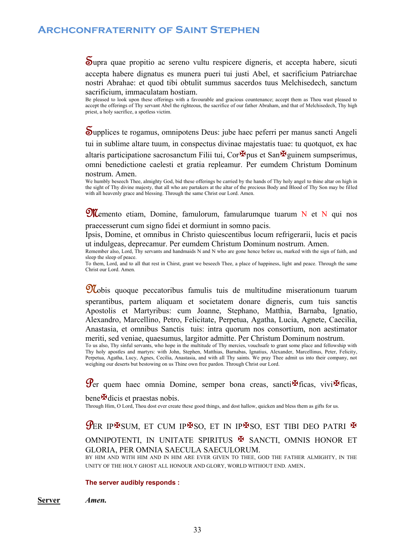Supra quae propitio ac sereno vultu respicere digneris, et accepta habere, sicuti accepta habere dignatus es munera pueri tui justi Abel, et sacrificium Patriarchae nostri Abrahae: et quod tibi obtulit summus sacerdos tuus Melchisedech, sanctum sacrificium, immaculatam hostiam.

Be pleased to look upon these offerings with a favourable and gracious countenance; accept them as Thou wast pleased to accept the offerings of Thy servant Abel the righteous, the sacrifice of our father Abraham, and that of Melchisedech, Thy high priest, a holy sacrifice, a spotless victim.

Supplices te rogamus, omnipotens Deus: jube haec peferri per manus sancti Angeli tui in sublime altare tuum, in conspectus divinae majestatis tuae: tu quotquot, ex hac altaris participatione sacrosanctum Filii tui, Cor $\mathbb{F}_{\text{pus}}$  et San $\mathbb{F}_{\text{gulinem}}$  sumpserimus, omni benedictione caelesti et gratia repleamur. Per eumdem Christum Dominum nostrum. Amen.

We humbly beseech Thee, almighty God, bid these offerings be carried by the hands of Thy holy angel to thine altar on high in the sight of Thy divine majesty, that all who are partakers at the altar of the precious Body and Blood of Thy Son may be filled with all heavenly grace and blessing. Through the same Christ our Lord. Amen.

**M**emento etiam, Domine, famulorum, famularumque tuarum N et N qui nos praecesserunt cum signo fidei et dormiunt in somno pacis.

Ipsis, Domine, et omnibus in Christo quiescentibus locum refrigerarii, lucis et pacis

ut indulgeas, deprecamur. Per eumdem Christum Dominum nostrum. Amen.

Remember also, Lord, Thy servants and handmaids N and N who are gone hence before us, marked with the sign of faith, and sleep the sleep of peace.

To them, Lord, and to all that rest in Chirst, grant we beseech Thee, a place of happiness, light and peace. Through the same Christ our Lord. Amen.

Nobis quoque peccatoribus famulis tuis de multitudine miserationum tuarum sperantibus, partem aliquam et societatem donare digneris, cum tuis sanctis Apostolis et Martyribus: cum Joanne, Stephano, Matthia, Barnaba, Ignatio, Alexandro, Marcellino, Petro, Felicitate, Perpetua, Agatha, Lucia, Agnete, Caecilia,

Anastasia, et omnibus Sanctis tuis: intra quorum nos consortium, non aestimator meriti, sed veniae, quaesumus, largitor admitte. Per Christum Dominum nostrum.

To us also, Thy sinful servants, who hope in the multitude of Thy mercies, vouchsafe to grant some place and fellowship with Thy holy apostles and martyrs: with John, Stephen, Matthias, Barnabas, Ignatius, Alexander, Marcellinus, Peter, Felicity, Perpetua, Agatha, Lucy, Agnes, Cecilia, Anastasia, and with all Thy saints. We pray Thee admit us into their company, not weighing our deserts but bestowing on us Thine own free pardon. Through Christ our Lord.

 $\mathcal{G}_{\text{er}}$  quem haec omnia Domine, semper bona creas, sancti $\mathbf{\mathcal{F}}$ ficas, vivi $\mathbf{\mathcal{F}}$ ficas,

### bene Hedicis et praestas nobis.

Through Him, O Lord, Thou dost ever create these good things, and dost hallow, quicken and bless them as gifts for us.

## PER IPSUM, ET CUM IPSO, ET IN IPSO, EST TIBI DEO PATRI E OMNIPOTENTI, IN UNITATE SPIRITUS **X** SANCTI, OMNIS HONOR ET GLORIA, PER OMNIA SAECULA SAECULORUM.

BY HIM AND WITH HIM AND IN HIM ARE EVER GIVEN TO THEE, GOD THE FATHER ALMIGHTY, IN THE UNITY OF THE HOLY GHOST ALL HONOUR AND GLORY, WORLD WITHOUT END. AMEN.

### **The server audibly responds :**

**Server** *Amen.*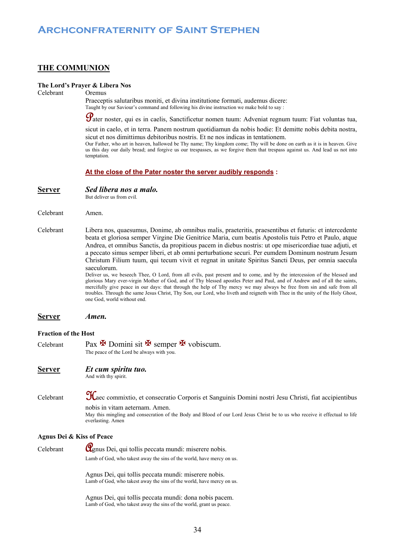### **THE COMMUNION**

### **The Lord's Prayer & Libera Nos**

Celebrant Oremus

Praeceptis salutaribus moniti, et divina institutione formati, audemus dicere: Taught by our Saviour's command and following his divine instruction we make bold to say :

Pater noster, qui es in caelis, Sanctificetur nomen tuum: Adveniat regnum tuum: Fiat voluntas tua,

sicut in caelo, et in terra. Panem nostrum quotidiamun da nobis hodie: Et demitte nobis debita nostra, sicut et nos dimittimus debitoribus nostris. Et ne nos indicas in tentationem.

Our Father, who art in heaven, hallowed be Thy name; Thy kingdom come; Thy will be done on earth as it is in heaven. Give us this day our daily bread; and forgive us our trespasses, as we forgive them that trespass against us. And lead us not into temptation.

### **At the close of the Pater noster the server audibly responds :**

But deliver us from evil.

- Celebrant Amen.
- Celebrant Libera nos, quaesumus, Donime, ab omnibus malis, praeteritis, praesentibus et futuris: et intercedente beata et gloriosa semper Virgine Die Genitrice Maria, cum beatis Apostolis tuis Petro et Paulo, atque Andrea, et omnibus Sanctis, da propitious pacem in diebus nostris: ut ope misericordiae tuae adjuti, et a peccato simus semper liberi, et ab omni perturbatione securi. Per eumdem Dominum nostrum Jesum Christum Filium tuum, qui tecum vivit et regnat in unitate Spiritus Sancti Deus, per omnia saecula saeculorum.

Deliver us, we beseech Thee, O Lord, from all evils, past present and to come, and by the intercession of the blessed and glorious Mary ever-virgin Mother of God, and of Thy blessed apostles Peter and Paul, and of Andrew and of all the saints, mercifully give peace in our days: that through the help of Thy mercy we may always be free from sin and safe from all troubles. Through the same Jesus Christ, Thy Son, our Lord, who liveth and reigneth with Thee in the unity of the Holy Ghost, one God, world without end.

```
Server Amen.
```
### **Fraction of the Host**

Celebrant Pax  $\mathbb F$  Domini sit  $\mathbb F$  semper  $\mathbb F$  vobiscum. The peace of the Lord be always with you.

### **Server** *Et cum spiritu tuo.*

And with thy spirit.

Celebrant Haec commixtio, et consecratio Corporis et Sanguinis Domini nostri Jesu Christi, fiat accipientibus nobis in vitam aeternam. Amen.

May this mingling and consecration of the Body and Blood of our Lord Jesus Christ be to us who receive it effectual to life everlasting. Amen

### **Agnus Dei & Kiss of Peace**

Celebrant  $\mathbf{Q}_{\text{gnus}}$  Dei, qui tollis peccata mundi: miserere nobis. Lamb of God, who takest away the sins of the world, have mercy on us.

> Agnus Dei, qui tollis peccata mundi: miserere nobis. Lamb of God, who takest away the sins of the world, have mercy on us.

Agnus Dei, qui tollis peccata mundi: dona nobis pacem. Lamb of God, who takest away the sins of the world, grant us peace.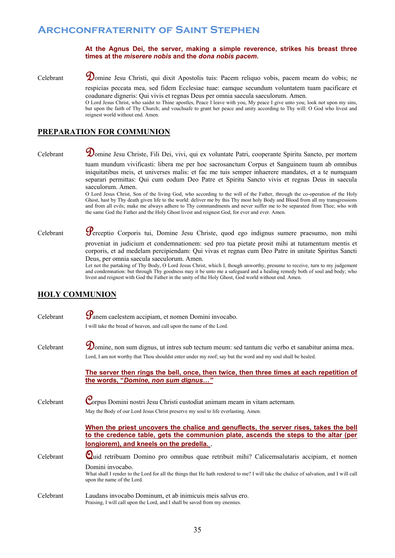### **At the Agnus Dei, the server, making a simple reverence, strikes his breast three times at the** *miserere nobis* **and the** *dona nobis pacem***.**

Celebrant Domine Jesu Christi, qui dixit Apostolis tuis: Pacem reliquo vobis, pacem meam do vobis; ne

respicias peccata mea, sed fidem Ecclesiae tuae: eamque secundum voluntatem tuam pacificare et coadunare digneris: Qui vivis et regnas Deus per omnia saecula saeculorum. Amen.

O Lord Jesus Christ, who saidst to Thine apostles, Peace I leave with you, My peace I give unto you; look not upon my sins, but upon the faith of Thy Church; and vouchsafe to grant her peace and unity according to Thy will: O God who livest and reignest world without end. Amen.

### **PREPARATION FOR COMMUNION**

Celebrant Vomine Jesu Christe, Fili Dei, vivi, qui ex voluntate Patri, cooperante Spiritu Sancto, per mortem tuam mundum vivificasti: libera me per hoc sacrosanctum Corpus et Sanguinem tuum ab omnibus iniquitatibus meis, et universes malis: et fac me tuis semper inhaerere mandates, et a te numquam separari permittas: Qui cum eodum Deo Patre et Spiritu Sancto vivis et regnas Deus in saecula saeculorum. Amen.

> O Lord Jesus Christ, Son of the living God, who according to the will of the Father, through the co-operation of the Holy Ghost, hast by Thy death given life to the world: deliver me by this Thy most holy Body and Blood from all my transgressions and from all evils; make me always adhere to Thy commandments and never suffer me to be separated from Thee; who with the same God the Father and the Holy Ghost livest and reignest God, for ever and ever. Amen.

# Celebrant Perceptio Corporis tui, Domine Jesu Christe, quod ego indignus sumere praesumo, non mihi

proveniat in judicium et condemnationem: sed pro tua pietate prosit mihi at tutamentum mentis et corporis, et ad medelam percipiendam: Qui vivas et regnas cum Deo Patre in unitate Spiritus Sancti Deus, per omnia saecula saeculorum. Amen.

Let not the partaking of Thy Body, O Lord Jesus Christ, which I, though unworthy, presume to receive, turn to my judgement and condemnation: but through Thy goodness may it be unto me a safeguard and a healing remedy both of soul and body; who livest and reignest with God the Father in the unity of the Holy Ghost, God world without end. Amen.

## **HOLY COMMUNION**

| Celebrant | $\mathcal G$ anem caelestem accipiam, et nomen Domini invocabo.                                                                                                                                                                                                                       |
|-----------|---------------------------------------------------------------------------------------------------------------------------------------------------------------------------------------------------------------------------------------------------------------------------------------|
|           | I will take the bread of heaven, and call upon the name of the Lord.                                                                                                                                                                                                                  |
| Celebrant | Domine, non sum dignus, ut intres sub tectum meum: sed tantum dic verbo et sanabitur anima mea.<br>Lord, I am not worthy that Thou shouldst enter under my roof; say but the word and my soul shall be healed.                                                                        |
|           | The server then rings the bell, once, then twice, then three times at each repetition of<br>the words, "Domine, non sum dignus"                                                                                                                                                       |
| Celebrant | Corpus Domini nostri Jesu Christi custodiat animam meam in vitam aeternam.<br>May the Body of our Lord Jesus Christ preserve my soul to life everlasting. Amen.                                                                                                                       |
|           | When the priest uncovers the chalice and genuflects, the server rises, takes the bell<br>to the credence table, gets the communion plate, ascends the steps to the altar (per<br>longiorem), and kneels on the predella                                                               |
| Celebrant | Quid retribuam Domino pro omnibus quae retribuit mihi? Calicemsalutaris accipiam, et nomen<br>Domini invocabo.<br>What shall I render to the Lord for all the things that He hath rendered to me? I will take the chalice of salvation, and I will call<br>upon the name of the Lord. |
| Celebrant | Laudans invocabo Dominum, et ab inimicuis meis salvus ero.<br>Praising, I will call upon the Lord, and I shall be saved from my enemies.                                                                                                                                              |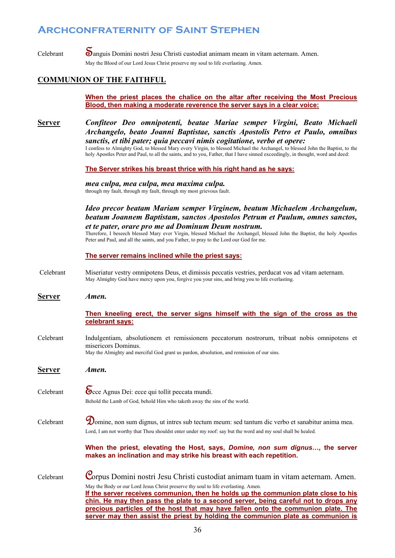Celebrant **S**anguis Domini nostri Jesu Christi custodiat animam meam in vitam aeternam. Amen. May the Blood of our Lord Jesus Christ preserve my soul to life everlasting. Amen.

## **COMMUNION OF THE FAITHFUL**

**When the priest places the chalice on the altar after receiving the Most Precious Blood, then making a moderate reverence the server says in a clear voice:**

**Server** *Confiteor Deo omnipotenti, beatae Mariae semper Virgini, Beato Michaeli Archangelo, beato Joanni Baptistae, sanctis Apostolis Petro et Paulo, omnibus sanctis, et tibi pater; quia peccavi nimis cogitatione, verbo et opere:*

I confess to Almighty God, to blessed Mary every Virgin, to blessed Michael the Archangel, to blessed John the Baptist, to the holy Apostles Peter and Paul, to all the saints, and to you, Father, that I have sinned exceedingly, in thought, word and deed:

**The Server strikes his breast thrice with his right hand as he says:**

*mea culpa, mea culpa, mea maxima culpa.* through my fault, through my fault, through my most grievous fault.

*Ideo precor beatam Mariam semper Virginem, beatum Michaelem Archangelum, beatum Joannem Baptistam, sanctos Apostolos Petrum et Paulum, omnes sanctos, et te pater, orare pro me ad Dominum Deum nostrum.*

Therefore, I beseech blessed Mary ever Virgin, blessed Michael the Archangel, blessed John the Baptist, the holy Apostles Peter and Paul, and all the saints, and you Father, to pray to the Lord our God for me.

### **The server remains inclined while the priest says:**

- Celebrant Miseriatur vestry omnipotens Deus, et dimissis peccatis vestries, perducat vos ad vitam aeternam. May Almighty God have mercy upon you, forgive you your sins, and bring you to life everlasting.
- **Server** *Amen.*

### **Then kneeling erect, the server signs himself with the sign of the cross as the celebrant says:**

Celebrant Indulgentiam, absolutionem et remissionem peccatorum nostrorum, tribuat nobis omnipotens et misericors Dominus.

May the Almighty and merciful God grant us pardon, absolution, and remission of our sins.

| Ser <u>ver</u> | Amen.                                                                                                                                                                                                                                                                                                                                                                                                                                     |
|----------------|-------------------------------------------------------------------------------------------------------------------------------------------------------------------------------------------------------------------------------------------------------------------------------------------------------------------------------------------------------------------------------------------------------------------------------------------|
| Celebrant      | Soce Agnus Dei: ecce qui tollit peccata mundi.<br>Behold the Lamb of God, behold Him who taketh away the sins of the world.                                                                                                                                                                                                                                                                                                               |
| Celebrant      | Domine, non sum dignus, ut intres sub tectum meum: sed tantum dic verbo et sanabitur anima mea.<br>Lord, I am not worthy that Thou shouldst enter under my roof: say but the word and my soul shall be healed.                                                                                                                                                                                                                            |
|                | When the priest, elevating the Host, says, Domine, non sum dignus, the server<br>makes an inclination and may strike his breast with each repetition.                                                                                                                                                                                                                                                                                     |
| Celebrant      | Corpus Domini nostri Jesu Christi custodiat animam tuam in vitam aeternam. Amen.<br>May the Body or our Lord Jesus Christ preserve thy soul to life everlasting. Amen.<br>If the server receives communion, then he holds up the communion plate close to his<br>chin. He may then pass the plate to a second server, being careful not to drops any<br>precious particles of the host that may have fallen onto the communion plate. The |
|                | server may then assist the priest by holding the communion plate as communion is                                                                                                                                                                                                                                                                                                                                                          |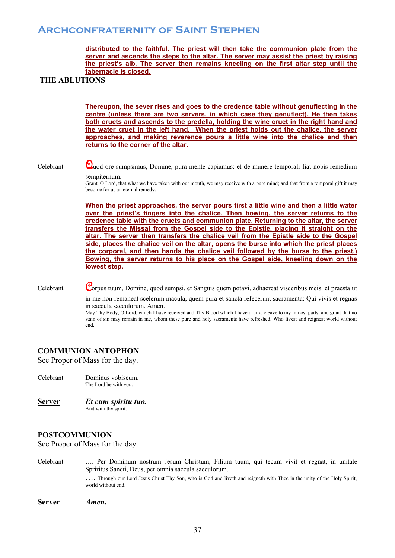### **distributed to the faithful. The priest will then take the communion plate from the server and ascends the steps to the altar. The server may assist the priest by raising the priest's alb. The server then remains kneeling on the first altar step until the tabernacle is closed.**

### **THE ABLUTIONS**

**Thereupon, the sever rises and goes to the credence table without genuflecting in the centre (unless there are two servers, in which case they genuflect). He then takes both cruets and ascends to the predella, holding the wine cruet in the right hand and the water cruet in the left hand. When the priest holds out the chalice, the server approaches, and making reverence pours a little wine into the chalice and then returns to the corner of the altar.** 

Celebrant Quod ore sumpsimus, Domine, pura mente capiamus: et de munere temporali fiat nobis remedium sempiternum.

> Grant, O Lord, that what we have taken with our mouth, we may receive with a pure mind; and that from a temporal gift it may become for us an eternal remedy.

> **When the priest approaches, the server pours first a little wine and then a little water over the priest's fingers into the chalice. Then bowing, the server returns to the credence table with the cruets and communion plate. Returning to the altar, the server transfers the Missal from the Gospel side to the Epistle, placing it straight on the altar. The server then transfers the chalice veil from the Epistle side to the Gospel side, places the chalice veil on the altar, opens the burse into which the priest places the corporal, and then hands the chalice veil followed by the burse to the priest.) Bowing, the server returns to his place on the Gospel side, kneeling down on the lowest step.**

Celebrant Corpus tuum, Domine, quod sumpsi, et Sanguis quem potavi, adhaereat visceribus meis: et praesta ut

in me non remaneat scelerum macula, quem pura et sancta refecerunt sacramenta: Qui vivis et regnas in saecula saeculorum. Amen.

May Thy Body, O Lord, which I have received and Thy Blood which I have drunk, cleave to my inmost parts, and grant that no stain of sin may remain in me, whom these pure and holy sacraments have refreshed. Who livest and reignest world without end.

### **COMMUNION ANTOPHON**

See Proper of Mass for the day.

- Celebrant Dominus vobiscum. The Lord be with you.
- **Server** *Et cum spiritu tuo.* And with thy spirit.

### **POSTCOMMUNION**

See Proper of Mass for the day.

Celebrant …. Per Dominum nostrum Jesum Christum, Filium tuum, qui tecum vivit et regnat, in unitate Spriritus Sancti, Deus, per omnia saecula saeculorum. …. Through our Lord Jesus Christ Thy Son, who is God and liveth and reigneth with Thee in the unity of the Holy Spirit, world without end.

**Server** *Amen.*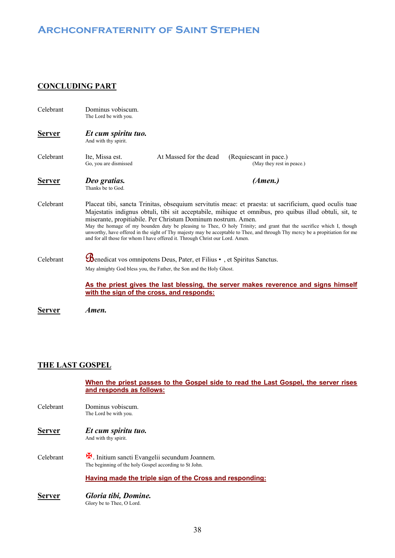## **CONCLUDING PART**

| Celebrant     | Dominus vobiscum.<br>The Lord be with you.                                                                                                                                                                                                                                                                                                                                                                                                                                                                                                                                                                              |                                                                                                                                                        |                                                                                     |  |
|---------------|-------------------------------------------------------------------------------------------------------------------------------------------------------------------------------------------------------------------------------------------------------------------------------------------------------------------------------------------------------------------------------------------------------------------------------------------------------------------------------------------------------------------------------------------------------------------------------------------------------------------------|--------------------------------------------------------------------------------------------------------------------------------------------------------|-------------------------------------------------------------------------------------|--|
| <b>Server</b> | Et cum spiritu tuo.<br>And with thy spirit.                                                                                                                                                                                                                                                                                                                                                                                                                                                                                                                                                                             |                                                                                                                                                        |                                                                                     |  |
| Celebrant     | Ite, Missa est.<br>Go, you are dismissed                                                                                                                                                                                                                                                                                                                                                                                                                                                                                                                                                                                | At Massed for the dead                                                                                                                                 | (Requiescant in pace.)<br>(May they rest in peace.)                                 |  |
| <u>Server</u> | Deo gratias.<br>Thanks be to God.                                                                                                                                                                                                                                                                                                                                                                                                                                                                                                                                                                                       |                                                                                                                                                        | (Amen.)                                                                             |  |
| Celebrant     | Placeat tibi, sancta Trinitas, obsequium servitutis meae: et praesta: ut sacrificium, quod oculis tuae<br>Majestatis indignus obtuli, tibi sit acceptabile, mihique et omnibus, pro quibus illud obtuli, sit, te<br>miserante, propitiabile. Per Christum Dominum nostrum. Amen.<br>May the homage of my bounden duty be pleasing to Thee, O holy Trinity; and grant that the sacrifice which I, though<br>unworthy, have offered in the sight of Thy majesty may be acceptable to Thee, and through Thy mercy be a propitiation for me<br>and for all those for whom I have offered it. Through Christ our Lord. Amen. |                                                                                                                                                        |                                                                                     |  |
| Celebrant     |                                                                                                                                                                                                                                                                                                                                                                                                                                                                                                                                                                                                                         | <b>B</b> enedicat vos omnipotens Deus, Pater, et Filius •, et Spiritus Sanctus.<br>May almighty God bless you, the Father, the Son and the Holy Ghost. |                                                                                     |  |
|               | with the sign of the cross, and responds:                                                                                                                                                                                                                                                                                                                                                                                                                                                                                                                                                                               |                                                                                                                                                        | As the priest gives the last blessing, the server makes reverence and signs himself |  |

**Server** *Amen.*

### **THE LAST GOSPEL**

|                  | When the priest passes to the Gospel side to read the Last Gospel, the server rises |
|------------------|-------------------------------------------------------------------------------------|
|                  | and responds as follows:                                                            |
| Celebrant        | Dominus vobiscum.                                                                   |
|                  | The Lord be with you.                                                               |
| <b>Server</b>    | Et cum spiritu tuo.                                                                 |
|                  | And with thy spirit.                                                                |
| <b>Celebrant</b> | H. Initium sancti Evangelii secundum Joannem.                                       |
|                  | The beginning of the holy Gospel according to St John.                              |
|                  | Having made the triple sign of the Cross and responding:                            |
| <b>Server</b>    | Gloria tibi, Domine.                                                                |
|                  | Glory be to Thee, O Lord.                                                           |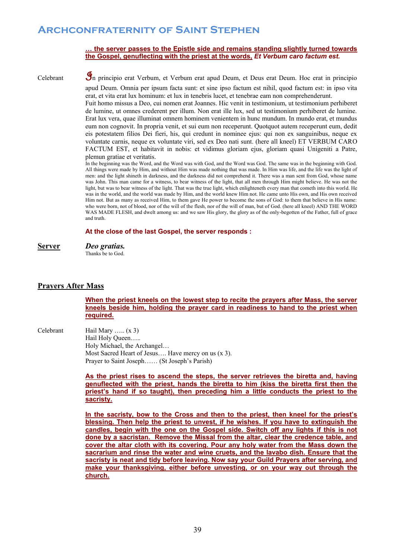### **… the server passes to the Epistle side and remains standing slightly turned towards the Gospel, genuflecting with the priest at the words,** *Et Verbum caro factum est.*

Celebrant 9n principio erat Verbum, et Verbum erat apud Deum, et Deus erat Deum. Hoc erat in principio apud Deum. Omnia per ipsum facta sunt: et sine ipso factum est nihil, quod factum est: in ipso vita

erat, et vita erat lux hominum: et lux in tenebris lucet, et tenebrae eam non comprehenderunt. Fuit homo missus a Deo, cui nomen erat Joannes. Hic venit in testimonium, ut testimonium perhiberet de lumine, ut omnes crederent per illum. Non erat ille lux, sed ut testimonium perhiberet de lumine. Erat lux vera, quae illuminat omnem hominem venientem in hunc mundum. In mundo erat, et mundus eum non cognovit. In propria venit, et sui eum non receperunt. Quotquot autem receperunt eum, dedit eis potestatem filios Dei fieri, his, qui credunt in nominee ejus: qui non ex sanguinibus, neque ex voluntate carnis, neque ex voluntate viri, sed ex Deo nati sunt. (here all kneel) ET VERBUM CARO FACTUM EST, et habitavit in nobis: et vidimus gloriam ejus, gloriam quasi Unigeniti a Patre, plemun gratiae et veritatis.

In the beginning was the Word, and the Word was with God, and the Word was God. The same was in the beginning with God. All things were made by Him, and without Him was made nothing that was made. In Him was life, and the life was the light of men: and the light shineth in darkness, and the darkness did not comprehend it. There was a man sent from God, whose name was John. This man came for a witness, to bear witness of the light, that all men through Him might believe. He was not the light, but was to bear witness of the light. That was the true light, which enlighteneth every man that cometh into this world. He was in the world, and the world was made by Him, and the world knew Him not. He came unto His own, and His own received Him not. But as many as received Him, to them gave He power to become the sons of God: to them that believe in His name: who were born, not of blood, nor of the will of the flesh, nor of the will of man, but of God. (here all kneel) AND THE WORD WAS MADE FLESH, and dwelt among us: and we saw His glory, the glory as of the only-begotten of the Father, full of grace and truth.

### **At the close of the last Gospel, the server responds :**

| <b>Server</b> | Deo gratias. |
|---------------|--------------|
|               |              |

Thanks be to God.

### **Prayers After Mass**

**When the priest kneels on the lowest step to recite the prayers after Mass, the server kneels beside him, holding the prayer card in readiness to hand to the priest when required.** 

Celebrant Hail Mary ….. (x 3) Hail Holy Queen….. Holy Michael, the Archangel… Most Sacred Heart of Jesus…. Have mercy on us (x 3). Prayer to Saint Joseph…… (St Joseph's Parish)

> **As the priest rises to ascend the steps, the server retrieves the biretta and, having genuflected with the priest, hands the biretta to him (kiss the biretta first then the priest's hand if so taught), then preceding him a little conducts the priest to the sacristy.**

> **In the sacristy, bow to the Cross and then to the priest, then kneel for the priest's blessing. Then help the priest to unvest, if he wishes. If you have to extinguish the candles, begin with the one on the Gospel side. Switch off any lights if this is not done by a sacristan. Remove the Missal from the altar, clear the credence table, and cover the altar cloth with its covering. Pour any holy water from the Mass down the sacrarium and rinse the water and wine cruets, and the lavabo dish. Ensure that the sacristy is neat and tidy before leaving. Now say your Guild Prayers after serving, and make your thanksgiving, either before unvesting, or on your way out through the church.**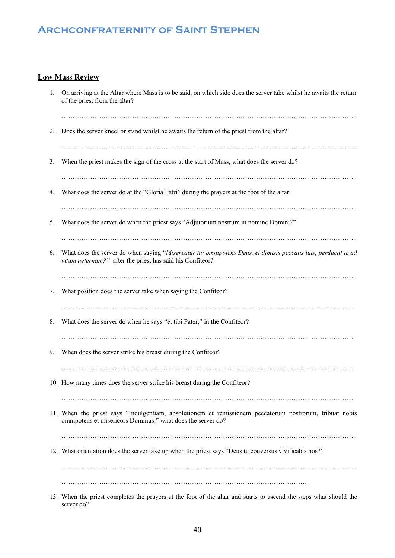### **Low Mass Review**

| 1. | On arriving at the Altar where Mass is to be said, on which side does the server take whilst he awaits the return<br>of the priest from the altar?                         |
|----|----------------------------------------------------------------------------------------------------------------------------------------------------------------------------|
| 2. | Does the server kneel or stand whilst he awaits the return of the priest from the altar?                                                                                   |
| 3. | When the priest makes the sign of the cross at the start of Mass, what does the server do?                                                                                 |
| 4. | What does the server do at the "Gloria Patri" during the prayers at the foot of the altar.                                                                                 |
| 5. | What does the server do when the priest says "Adjutorium nostrum in nomine Domini?"                                                                                        |
| 6. | What does the server do when saying "Misereatur tui omnipotens Deus, et dimisis peccatis tuis, perducat te ad<br>vitam aeternam?" after the priest has said his Confiteor? |
| 7. | What position does the server take when saying the Confiteor?                                                                                                              |
| 8. | What does the server do when he says "et tibi Pater," in the Confiteor?                                                                                                    |
| 9. | When does the server strike his breast during the Confiteor?                                                                                                               |
|    | 10. How many times does the server strike his breast during the Confiteor?                                                                                                 |
|    | 11. When the priest says "Indulgentiam, absolutionem et remissionem peccatorum nostrorum, tribuat nobis<br>omnipotens et misericors Dominus," what does the server do?     |
|    | 12. What orientation does the server take up when the priest says "Deus tu conversus vivificabis nos?"                                                                     |
|    |                                                                                                                                                                            |
|    | foot of the alten and stants<br>muaxrana at tha                                                                                                                            |

13. When the priest completes the prayers at the foot of the altar and starts to ascend the steps what should the server do?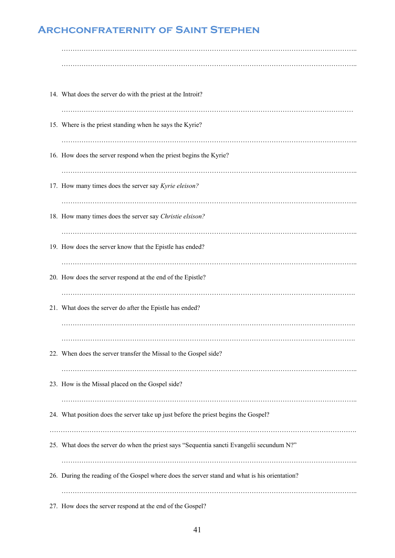| 14. What does the server do with the priest at the Introit?                                   |
|-----------------------------------------------------------------------------------------------|
|                                                                                               |
|                                                                                               |
| 15. Where is the priest standing when he says the Kyrie?                                      |
|                                                                                               |
| 16. How does the server respond when the priest begins the Kyrie?                             |
|                                                                                               |
|                                                                                               |
| 17. How many times does the server say Kyrie eleison?                                         |
|                                                                                               |
|                                                                                               |
| 18. How many times does the server say Christie elsison?                                      |
|                                                                                               |
| 19. How does the server know that the Epistle has ended?                                      |
|                                                                                               |
|                                                                                               |
| 20. How does the server respond at the end of the Epistle?                                    |
|                                                                                               |
|                                                                                               |
| 21. What does the server do after the Epistle has ended?                                      |
|                                                                                               |
|                                                                                               |
|                                                                                               |
| 22. When does the server transfer the Missal to the Gospel side?                              |
|                                                                                               |
| 23. How is the Missal placed on the Gospel side?                                              |
|                                                                                               |
|                                                                                               |
| 24. What position does the server take up just before the priest begins the Gospel?           |
|                                                                                               |
|                                                                                               |
| 25. What does the server do when the priest says "Sequentia sancti Evangelii secundum N?"     |
|                                                                                               |
| 26. During the reading of the Gospel where does the server stand and what is his orientation? |
|                                                                                               |
|                                                                                               |
|                                                                                               |

27. How does the server respond at the end of the Gospel?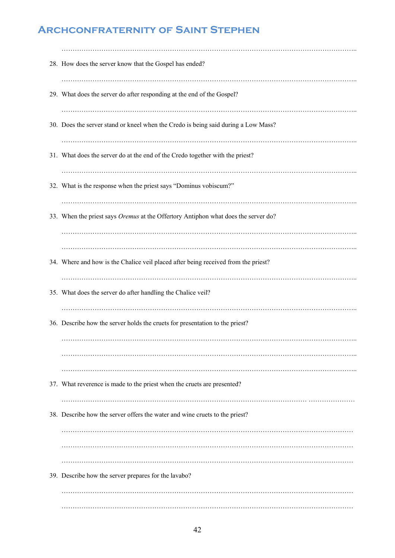| 28. How does the server know that the Gospel has ended?                            |
|------------------------------------------------------------------------------------|
|                                                                                    |
| 29. What does the server do after responding at the end of the Gospel?             |
|                                                                                    |
| 30. Does the server stand or kneel when the Credo is being said during a Low Mass? |
|                                                                                    |
| 31. What does the server do at the end of the Credo together with the priest?      |
|                                                                                    |
| 32. What is the response when the priest says "Dominus vobiscum?"                  |
|                                                                                    |
| 33. When the priest says Oremus at the Offertory Antiphon what does the server do? |
|                                                                                    |
|                                                                                    |
|                                                                                    |
| 34. Where and how is the Chalice veil placed after being received from the priest? |
|                                                                                    |
|                                                                                    |
| 35. What does the server do after handling the Chalice veil?                       |
|                                                                                    |
| 36. Describe how the server holds the cruets for presentation to the priest?       |
|                                                                                    |
|                                                                                    |
|                                                                                    |
|                                                                                    |
| 37. What reverence is made to the priest when the cruets are presented?            |
|                                                                                    |
|                                                                                    |
| 38. Describe how the server offers the water and wine cruets to the priest?        |
|                                                                                    |
|                                                                                    |
|                                                                                    |
|                                                                                    |
| 39. Describe how the server prepares for the lavabo?                               |
|                                                                                    |
|                                                                                    |
|                                                                                    |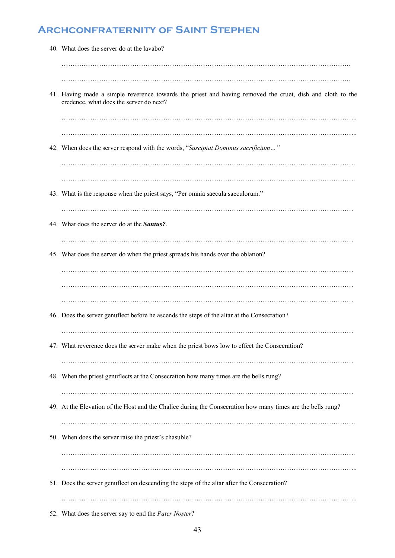| 40. What does the server do at the lavabo?                                                                                                           |
|------------------------------------------------------------------------------------------------------------------------------------------------------|
|                                                                                                                                                      |
|                                                                                                                                                      |
| 41. Having made a simple reverence towards the priest and having removed the cruet, dish and cloth to the<br>credence, what does the server do next? |
|                                                                                                                                                      |
|                                                                                                                                                      |
| 42. When does the server respond with the words, "Suscipiat Dominus sacrificium"                                                                     |
|                                                                                                                                                      |
| 43. What is the response when the priest says, "Per omnia saecula saeculorum."                                                                       |
|                                                                                                                                                      |
| 44. What does the server do at the <b>Santus</b> ?.                                                                                                  |
|                                                                                                                                                      |
| 45. What does the server do when the priest spreads his hands over the oblation?                                                                     |
|                                                                                                                                                      |
|                                                                                                                                                      |
|                                                                                                                                                      |
| 46. Does the server genuflect before he ascends the steps of the altar at the Consecration?                                                          |
| 47. What reverence does the server make when the priest bows low to effect the Consecration?                                                         |
|                                                                                                                                                      |
| 48. When the priest genuflects at the Consecration how many times are the bells rung?                                                                |
| 49. At the Elevation of the Host and the Chalice during the Consecration how many times are the bells rung?                                          |
|                                                                                                                                                      |
| 50. When does the server raise the priest's chasuble?                                                                                                |
|                                                                                                                                                      |
|                                                                                                                                                      |
| 51. Does the server genuflect on descending the steps of the altar after the Consecration?                                                           |
|                                                                                                                                                      |
| 52. What does the server say to end the Pater Noster?                                                                                                |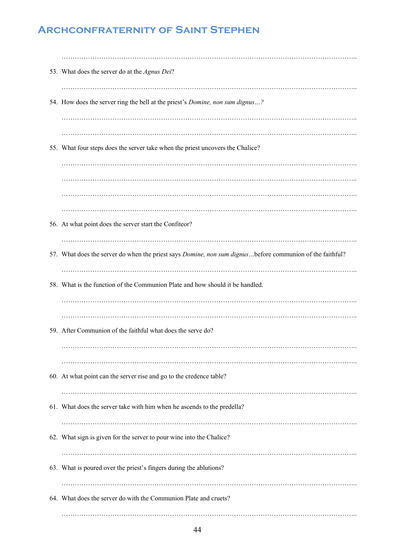| 53. What does the server do at the Agnus Dei?                                                            |
|----------------------------------------------------------------------------------------------------------|
| 54. How does the server ring the bell at the priest's Domine, non sum dignus?                            |
|                                                                                                          |
| 55. What four steps does the server take when the priest uncovers the Chalice?                           |
|                                                                                                          |
|                                                                                                          |
| 56. At what point does the server start the Confiteor?                                                   |
| 57. What does the server do when the priest says Domine, non sum dignusbefore communion of the faithful? |
| 58. What is the function of the Communion Plate and how should it be handled.                            |
|                                                                                                          |
| 59. After Communion of the faithful what does the serve do?                                              |
|                                                                                                          |
| 60. At what point can the server rise and go to the credence table?                                      |
|                                                                                                          |
| 61. What does the server take with him when he ascends to the predella?                                  |
| 62. What sign is given for the server to pour wine into the Chalice?                                     |
| 63. What is poured over the priest's fingers during the ablutions?                                       |
| 64. What does the server do with the Communion Plate and cruets?                                         |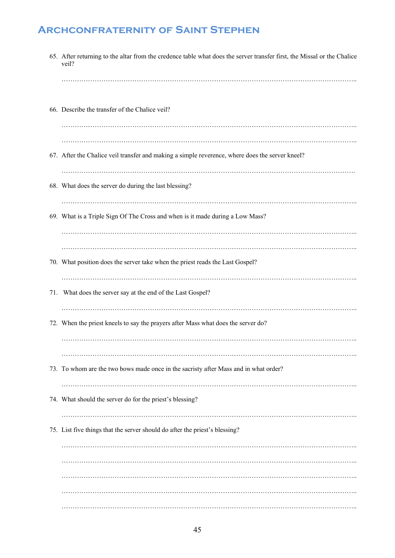| 65. After returning to the altar from the credence table what does the server transfer first, the Missal or the Chalice<br>veil? |
|----------------------------------------------------------------------------------------------------------------------------------|
|                                                                                                                                  |
| 66. Describe the transfer of the Chalice veil?                                                                                   |
|                                                                                                                                  |
| 67. After the Chalice veil transfer and making a simple reverence, where does the server kneel?                                  |
| 68. What does the server do during the last blessing?                                                                            |
|                                                                                                                                  |
| 69. What is a Triple Sign Of The Cross and when is it made during a Low Mass?                                                    |
|                                                                                                                                  |
|                                                                                                                                  |
| 70. What position does the server take when the priest reads the Last Gospel?                                                    |
| 71. What does the server say at the end of the Last Gospel?                                                                      |
| 72. When the priest kneels to say the prayers after Mass what does the server do?                                                |
|                                                                                                                                  |
|                                                                                                                                  |
| 73. To whom are the two bows made once in the sacristy after Mass and in what order?                                             |
| 74. What should the server do for the priest's blessing?                                                                         |
|                                                                                                                                  |
| 75. List five things that the server should do after the priest's blessing?                                                      |
|                                                                                                                                  |
|                                                                                                                                  |
|                                                                                                                                  |
|                                                                                                                                  |
|                                                                                                                                  |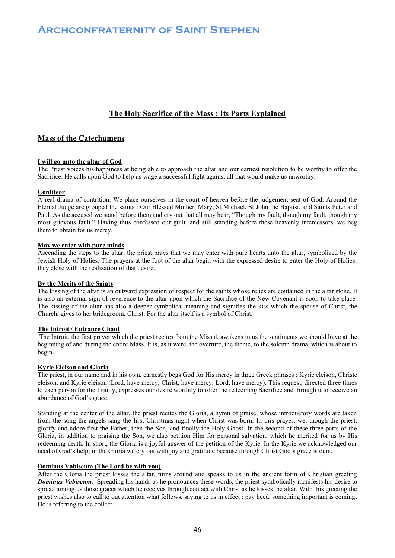### **The Holy Sacrifice of the Mass : Its Parts Explained**

### **Mass of the Catechumens**

### **I will go unto the altar of God**

The Priest voices his happiness at being able to approach the altar and our earnest resolution to be worthy to offer the Sacrifice. He calls upon God to help us wage a successful fight against all that would make us unworthy.

### **Confiteor**

A real drama of contrition. We place ourselves in the court of heaven before the judgement seat of God. Around the Eternal Judge are grouped the saints : Our Blessed Mother, Mary, St Michael, St John the Baptist, and Saints Peter and Paul. As the accused we stand before them and cry out that all may hear, "Though my fault, though my fault, though my most grievous fault." Having thus confessed our guilt, and still standing before these heavenly intercessors, we beg them to obtain for us mercy.

### **May we enter with pure minds**

Ascending the steps to the altar, the priest prays that we may enter with pure hearts unto the altar, symbolized by the Jewish Holy of Holies. The prayers at the foot of the altar begin with the expressed desire to enter the Holy of Holies; they close with the realization of that desire.

### **By the Merits of the Saints**

The kissing of the altar is an outward expression of respect for the saints whose relics are contained in the altar stone. It is also an external sign of reverence to the altar upon which the Sacrifice of the New Covenant is soon to take place. The kissing of the altar has also a deeper symbolical meaning and signifies the kiss which the spouse of Christ, the Church, gives to her bridegroom, Christ. For the altar itself is a symbol of Christ.

### **The Introit / Entrance Chant**

The Introit, the first prayer which the priest recites from the Missal, awakens in us the sentiments we should have at the beginning of and during the entire Mass. It is, as it were, the overture, the theme, to the solemn drama, which is about to begin.

### **Kyrie Eleison and Gloria**

The priest, in our name and in his own, earnestly begs God for His mercy in three Greek phrases : Kyrie eleison, Christe eleison, and Kyrie eleison (Lord, have mercy; Christ, have mercy; Lord, have mercy). This request, directed three times to each person for the Trinity, expresses our desire worthily to offer the redeeming Sacrifice and through it to receive an abundance of God's grace.

Standing at the center of the altar, the priest recites the Gloria, a hymn of praise, whose introductory words are taken from the song the angels sang the first Christmas night when Christ was born. In this prayer, we, though the priest, glorify and adore first the Father, then the Son, and finally the Holy Ghost. In the second of these three parts of the Gloria, in addition to praising the Son, we also petition Him for personal salvation, which he merited for us by His redeeming death. In short, the Gloria is a joyful answer of the petition of the Kyrie. In the Kyrie we acknowledged our need of God's help; in the Gloria we cry out with joy and gratitude because through Christ God's grace is ours.

### **Dominus Vobiscum (The Lord be with you)**

After the Gloria the priest kisses the altar, turns around and speaks to us in the ancient form of Christian greeting *Dominus Vobiscum.* Spreading his hands as he pronounces these words, the priest symbolically manifests his desire to spread among us those graces which he receives through contact with Christ as he kisses the altar. With this greeting the priest wishes also to call to out attention what follows, saying to us in effect : pay heed, something important is coming. He is referring to the collect.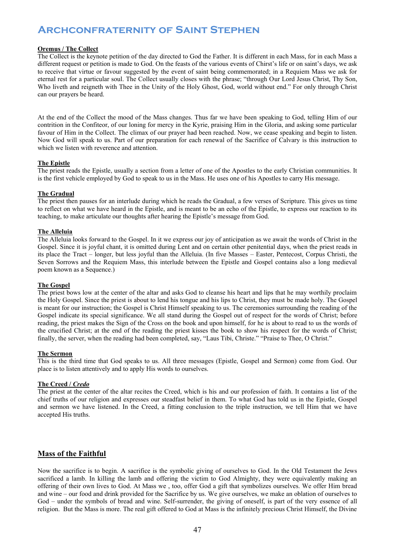### **Oremus / The Collect**

The Collect is the keynote petition of the day directed to God the Father. It is different in each Mass, for in each Mass a different request or petition is made to God. On the feasts of the various events of Chirst's life or on saint's days, we ask to receive that virtue or favour suggested by the event of saint being commemorated; in a Requiem Mass we ask for eternal rest for a particular soul. The Collect usually closes with the phrase; "through Our Lord Jesus Christ, Thy Son, Who liveth and reigneth with Thee in the Unity of the Holy Ghost, God, world without end." For only through Christ can our prayers be heard.

At the end of the Collect the mood of the Mass changes. Thus far we have been speaking to God, telling Him of our contrition in the Confiteor, of our loning for mercy in the Kyrie, praising Him in the Gloria, and asking some particular favour of Him in the Collect. The climax of our prayer had been reached. Now, we cease speaking and begin to listen. Now God will speak to us. Part of our preparation for each renewal of the Sacrifice of Calvary is this instruction to which we listen with reverence and attention.

### **The Epistle**

The priest reads the Epistle, usually a section from a letter of one of the Apostles to the early Christian communities. It is the first vehicle employed by God to speak to us in the Mass. He uses one of his Apostles to carry His message.

### **The Gradual**

The priest then pauses for an interlude during which he reads the Gradual, a few verses of Scripture. This gives us time to reflect on what we have heard in the Epistle, and is meant to be an echo of the Epistle, to express our reaction to its teaching, to make articulate our thoughts after hearing the Epistle's message from God.

### **The Alleluia**

The Alleluia looks forward to the Gospel. In it we express our joy of anticipation as we await the words of Christ in the Gospel. Since it is joyful chant, it is omitted during Lent and on certain other penitential days, when the priest reads in its place the Tract – longer, but less joyful than the Alleluia. (In five Masses – Easter, Pentecost, Corpus Christi, the Seven Sorrows and the Requiem Mass, this interlude between the Epistle and Gospel contains also a long medieval poem known as a Sequence.)

### **The Gospel**

The priest bows low at the center of the altar and asks God to cleanse his heart and lips that he may worthily proclaim the Holy Gospel. Since the priest is about to lend his tongue and his lips to Christ, they must be made holy. The Gospel is meant for our instruction; the Gospel is Christ Himself speaking to us. The ceremonies surrounding the reading of the Gospel indicate its special significance. We all stand during the Gospel out of respect for the words of Christ; before reading, the priest makes the Sign of the Cross on the book and upon himself, for he is about to read to us the words of the crucified Christ; at the end of the reading the priest kisses the book to show his respect for the words of Christ; finally, the server, when the reading had been completed, say, "Laus Tibi, Christe." "Praise to Thee, O Christ."

### **The Sermon**

This is the third time that God speaks to us. All three messages (Epistle, Gospel and Sermon) come from God. Our place is to listen attentively and to apply His words to ourselves.

### **The Creed /** *Credo*

The priest at the center of the altar recites the Creed, which is his and our profession of faith. It contains a list of the chief truths of our religion and expresses our steadfast belief in them. To what God has told us in the Epistle, Gospel and sermon we have listened. In the Creed, a fitting conclusion to the triple instruction, we tell Him that we have accepted His truths.

### **Mass of the Faithful**

Now the sacrifice is to begin. A sacrifice is the symbolic giving of ourselves to God. In the Old Testament the Jews sacrificed a lamb. In killing the lamb and offering the victim to God Almighty, they were equivalently making an offering of their own lives to God. At Mass we , too, offer God a gift that symbolizes ourselves. We offer Him bread and wine – our food and drink provided for the Sacrifice by us. We give ourselves, we make an oblation of ourselves to God – under the symbols of bread and wine. Self-surrender, the giving of oneself, is part of the very essence of all religion. But the Mass is more. The real gift offered to God at Mass is the infinitely precious Christ Himself, the Divine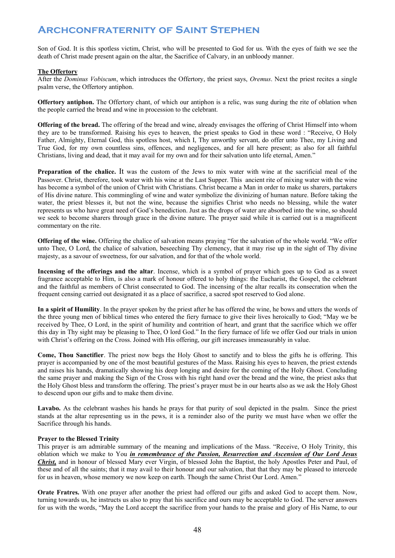Son of God. It is this spotless victim, Christ, who will be presented to God for us. With the eyes of faith we see the death of Christ made present again on the altar, the Sacrifice of Calvary, in an unbloody manner.

### **The Offertory**

After the *Dominus Vobiscum*, which introduces the Offertory, the priest says, *Oremus*. Next the priest recites a single psalm verse, the Offertory antiphon.

**Offertory antiphon.** The Offertory chant, of which our antiphon is a relic, was sung during the rite of oblation when the people carried the bread and wine in procession to the celebrant.

**Offering of the bread.** The offering of the bread and wine, already envisages the offering of Christ Himself into whom they are to be transformed. Raising his eyes to heaven, the priest speaks to God in these word : "Receive, O Holy Father, Almighty, Eternal God, this spotless host, which I, Thy unworthy servant, do offer unto Thee, my Living and True God, for my own countless sins, offences, and negligences, and for all here present; as also for all faithful Christians, living and dead, that it may avail for my own and for their salvation unto life eternal, Amen."

**Preparation of the chalice.** It was the custom of the Jews to mix water with wine at the sacrificial meal of the Passover. Christ, therefore, took water with his wine at the Last Supper. This ancient rite of mixing water with the wine has become a symbol of the union of Christ with Christians. Christ became a Man in order to make us sharers, partakers of His divine nature. This commingling of wine and water symbolize the divinizing of human nature. Before taking the water, the priest blesses it, but not the wine, because the signifies Christ who needs no blessing, while the water represents us who have great need of God's benediction. Just as the drops of water are absorbed into the wine, so should we seek to become sharers through grace in the divine nature. The prayer said while it is carried out is a magnificent commentary on the rite.

**Offering of the wine.** Offering the chalice of salvation means praying "for the salvation of the whole world. "We offer unto Thee, O Lord, the chalice of salvation, beseeching Thy clemency, that it may rise up in the sight of Thy divine majesty, as a savour of sweetness, for our salvation, and for that of the whole world.

**Incensing of the offerings and the altar**. Incense, which is a symbol of prayer which goes up to God as a sweet fragrance acceptable to Him, is also a mark of honour offered to holy things: the Eucharist, the Gospel, the celebrant and the faithful as members of Christ consecrated to God. The incensing of the altar recalls its consecration when the frequent censing carried out designated it as a place of sacrifice, a sacred spot reserved to God alone.

**In a spirit of Humility**. In the prayer spoken by the priest after he has offered the wine, he bows and utters the words of the three young men of biblical times who entered the fiery furnace to give their lives heroically to God; "May we be received by Thee, O Lord, in the spirit of humility and contrition of heart, and grant that the sacrifice which we offer this day in Thy sight may be pleasing to Thee, O lord God." In the fiery furnace of life we offer God our trials in union with Christ's offering on the Cross. Joined with His offering, our gift increases immeasurably in value.

**Come, Thou Sanctifier**. The priest now begs the Holy Ghost to sanctify and to bless the gifts he is offering. This prayer is accompanied by one of the most beautiful gestures of the Mass. Raising his eyes to heaven, the priest extends and raises his hands, dramatically showing his deep longing and desire for the coming of the Holy Ghost. Concluding the same prayer and making the Sign of the Cross with his right hand over the bread and the wine, the priest asks that the Holy Ghost bless and transform the offering. The priest's prayer must be in our hearts also as we ask the Holy Ghost to descend upon our gifts and to make them divine.

**Lavabo.** As the celebrant washes his hands he prays for that purity of soul depicted in the psalm. Since the priest stands at the altar representing us in the pews, it is a reminder also of the purity we must have when we offer the Sacrifice through his hands.

### **Prayer to the Blessed Trinity**

This prayer is am admirable summary of the meaning and implications of the Mass. "Receive, O Holy Trinity, this oblation which we make to You *in remembrance of the Passion, Resurrection and Ascension of Our Lord Jesus Christ,* and in honour of blessed Mary ever Virgin, of blessed John the Baptist, the holy Apostles Peter and Paul, of these and of all the saints; that it may avail to their honour and our salvation, that that they may be pleased to intercede for us in heaven, whose memory we now keep on earth. Though the same Christ Our Lord. Amen."

**Orate Fratres.** With one prayer after another the priest had offered our gifts and asked God to accept them. Now, turning towards us, he instructs us also to pray that his sacrifice and ours may be acceptable to God. The server answers for us with the words, "May the Lord accept the sacrifice from your hands to the praise and glory of His Name, to our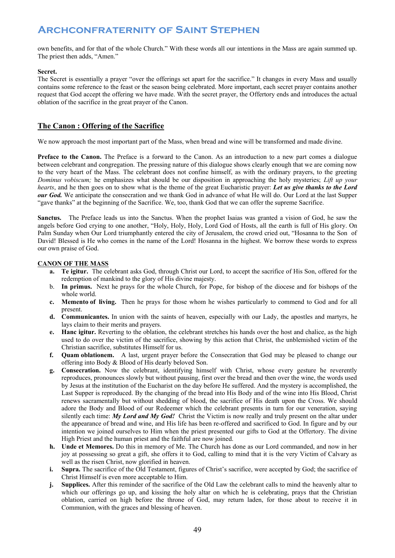own benefits, and for that of the whole Church." With these words all our intentions in the Mass are again summed up. The priest then adds, "Amen."

### **Secret.**

The Secret is essentially a prayer "over the offerings set apart for the sacrifice." It changes in every Mass and usually contains some reference to the feast or the season being celebrated. More important, each secret prayer contains another request that God accept the offering we have made. With the secret prayer, the Offertory ends and introduces the actual oblation of the sacrifice in the great prayer of the Canon.

### **The Canon : Offering of the Sacrifice**

We now approach the most important part of the Mass, when bread and wine will be transformed and made divine.

**Preface to the Canon.** The Preface is a forward to the Canon. As an introduction to a new part comes a dialogue between celebrant and congregation. The pressing nature of this dialogue shows clearly enough that we are coming now to the very heart of the Mass. The celebrant does not confine himself, as with the ordinary prayers, to the greeting *Dominus vobiscum;* he emphasizes what should be our disposition in approaching the holy mysteries; *Lift up your hearts*, and he then goes on to show what is the theme of the great Eucharistic prayer: *Let us give thanks to the Lord our God.* We anticipate the consecration and we thank God in advance of what He will do. Our Lord at the last Supper "gave thanks" at the beginning of the Sacrifice. We, too, thank God that we can offer the supreme Sacrifice.

**Sanctus.** The Preface leads us into the Sanctus. When the prophet Isaias was granted a vision of God, he saw the angels before God crying to one another, "Holy, Holy, Holy, Lord God of Hosts, all the earth is full of His glory. On Palm Sunday when Our Lord triumphantly entered the city of Jerusalem, the crowd cried out, "Hosanna to the Son of David! Blessed is He who comes in the name of the Lord! Hosanna in the highest. We borrow these words to express our own praise of God.

### **CANON OF THE MASS**

- **a. Te igitur.** The celebrant asks God, through Christ our Lord, to accept the sacrifice of His Son, offered for the redemption of mankind to the glory of His divine majesty.
- b. **In primus.** Next he prays for the whole Church, for Pope, for bishop of the diocese and for bishops of the whole world.
- **c. Memento of living.** Then he prays for those whom he wishes particularly to commend to God and for all present.
- **d. Communicantes.** In union with the saints of heaven, especially with our Lady, the apostles and martyrs, he lays claim to their merits and prayers.
- **e. Hanc igitur.** Reverting to the oblation, the celebrant stretches his hands over the host and chalice, as the high used to do over the victim of the sacrifice, showing by this action that Christ, the unblemished victim of the Christian sacrifice, substitutes Himself for us.
- **f. Quam oblationem.** A last, urgent prayer before the Consecration that God may be pleased to change our offering into Body & Blood of His dearly beloved Son.
- **g. Consecration.** Now the celebrant, identifying himself with Christ, whose every gesture he reverently reproduces, pronounces slowly but without pausing, first over the bread and then over the wine, the words used by Jesus at the institution of the Eucharist on the day before He suffered. And the mystery is accomplished, the Last Supper is reproduced. By the changing of the bread into His Body and of the wine into His Blood, Christ renews sacramentally but without shedding of blood, the sacrifice of His death upon the Cross. We should adore the Body and Blood of our Redeemer which the celebrant presents in turn for our veneration, saying silently each time: *My Lord and My God!* Christ the Victim is now really and truly present on the altar under the appearance of bread and wine, and His life has been re-offered and sacrificed to God. In figure and by our intention we joined ourselves to Him when the priest presented our gifts to God at the Offertory. The divine High Priest and the human priest and the faithful are now joined.
- **h. Unde et Memores.** Do this in memory of Me. The Church has done as our Lord commanded, and now in her joy at possessing so great a gift, she offers it to God, calling to mind that it is the very Victim of Calvary as well as the risen Christ, now glorified in heaven.
- **i.** Supra. The sacrifice of the Old Testament, figures of Christ's sacrifice, were accepted by God; the sacrifice of Christ Himself is even more acceptable to Him.
- **j. Supplices.** After this reminder of the sacrifice of the Old Law the celebrant calls to mind the heavenly altar to which our offerings go up, and kissing the holy altar on which he is celebrating, prays that the Christian oblation, carried on high before the throne of God, may return laden, for those about to receive it in Communion, with the graces and blessing of heaven.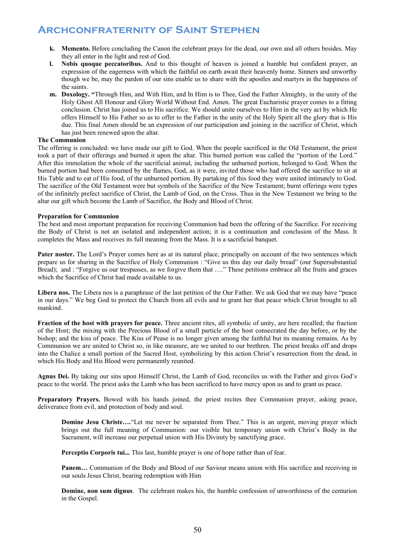- **k. Memento.** Before concluding the Canon the celebrant prays for the dead, our own and all others besides. May they all enter in the light and rest of God.
- **l. Nobis quoque peccatoribus.** And to this thought of heaven is joined a humble but confident prayer, an expression of the eagerness with which the faithful on earth await their heavenly home. Sinners and unworthy though we be, may the pardon of our sins enable us to share with the apostles and martyrs in the happiness of the saints.
- **m. Doxology. "**Through Him, and With Him, and In Him is to Thee, God the Father Almighty, in the unity of the Holy Ghost All Honour and Glory World Without End. Amen. The great Eucharistic prayer comes to a fitting conclusion. Christ has joined us to His sacrifice. We should unite ourselves to Him in the very act by which He offers Himself to His Father so as to offer to the Father in the unity of the Holy Spirit all the glory that is His due. This final Amen should be an expression of our participation and joining in the sacrifice of Christ, which has just been renewed upon the altar.

### **The Communion**

The offering is concluded: we have made our gift to God. When the people sacrificed in the Old Testament, the priest took a part of their offerings and burned it upon the altar. This burned portion was called the "portion of the Lord." After this immolation the whole of the sacrificial animal, including the unburned portion, belonged to God; When the burned portion had been consumed by the flames, God, as it were, invited those who had offered the sacrifice to sit at His Table and to eat of His food, of the unburned portion. By partaking of this food they were united intimately to God. The sacrifice of the Old Testament were but symbols of the Sacrifice of the New Testament; burnt offerings were types of the infinitely prefect sacrifice of Christ, the Lamb of God, on the Cross. Thus in the New Testament we bring to the altar our gift which become the Lamb of Sacrifice, the Body and Blood of Christ.

### **Preparation for Communion**

The best and most important preparation for receiving Communion had been the offering of the Sacrifice. For receiving the Body of Christ is not an isolated and independent action; it is a continuation and conclusion of the Mass. It completes the Mass and receives its full meaning from the Mass. It is a sacrificial banquet.

**Pater noster.** The Lord's Prayer comes here as at its natural place, principally on account of the two sentences which prepare us for sharing in the Sacrifice of Holy Communion : "Give us this day our daily bread" (our Supersubstantial Bread); and : "Forgive us our trespasses, as we forgive them that ...." These petitions embrace all the fruits and graces which the Sacrifice of Christ had made available to us.

**Libera nos.** The Libera nos is a paraphrase of the last petition of the Our Father. We ask God that we may have "peace in our days." We beg God to protect the Church from all evils and to grant her that peace which Christ brought to all mankind.

**Fraction of the host with prayers for peace.** Three ancient rites, all symbolic of unity, are here recalled; the fraction of the Host; the mixing with the Precious Blood of a small particle of the host consecrated the day before, or by the bishop; and the kiss of peace. The Kiss of Pease is no longer given among the faithful but its meaning remains. As by Communion we are united to Christ so, in like measure, are we united to our brethren. The priest breaks off and drops into the Chalice a small portion of the Sacred Host, symbolizing by this action Christ's resurrection from the dead, in which His Body and His Blood were permanently reunited.

**Agnus Dei.** By taking our sins upon Himself Christ, the Lamb of God, reconciles us with the Father and gives God's peace to the world. The priest asks the Lamb who has been sacrificed to have mercy upon us and to grant us peace.

**Preparatory Prayers.** Bowed with his hands joined, the priest recites thee Communion prayer, asking peace, deliverance from evil, and protection of body and soul.

**Domine Jesu Christe....**"Let me never be separated from Thee." This is an urgent, moving prayer which brings out the full meaning of Communion: our visible but temporary union with Christ's Body in the Sacrament, will increase our perpetual union with His Divinity by sanctifying grace.

Perceptio Corporis tui... This last, humble prayer is one of hope rather than of fear.

**Panem…** Communion of the Body and Blood of our Saviour means union with His sacrifice and receiving in our souls Jesus Christ, bearing redemption with Him

**Domine, non sum dignus**. The celebrant makes his, the humble confession of unworthiness of the centurion in the Gospel.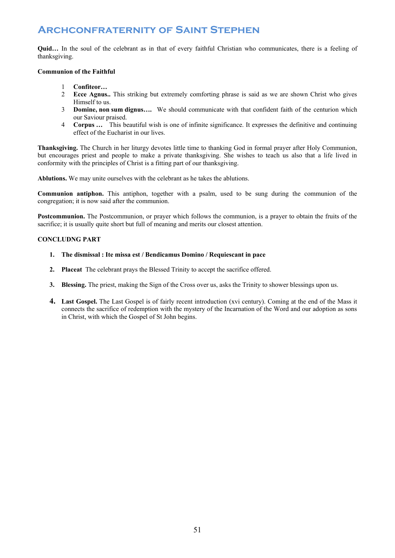**Quid...** In the soul of the celebrant as in that of every faithful Christian who communicates, there is a feeling of thanksgiving.

### **Communion of the Faithful**

- 1 **Confiteor…**
- 2 **Ecce Agnus..** This striking but extremely comforting phrase is said as we are shown Christ who gives Himself to us.
- 3 **Domine, non sum dignus….** We should communicate with that confident faith of the centurion which our Saviour praised.
- 4 **Corpus …** This beautiful wish is one of infinite significance. It expresses the definitive and continuing effect of the Eucharist in our lives.

**Thanksgiving.** The Church in her liturgy devotes little time to thanking God in formal prayer after Holy Communion, but encourages priest and people to make a private thanksgiving. She wishes to teach us also that a life lived in conformity with the principles of Christ is a fitting part of our thanksgiving.

**Ablutions.** We may unite ourselves with the celebrant as he takes the ablutions.

**Communion antiphon.** This antiphon, together with a psalm, used to be sung during the communion of the congregation; it is now said after the communion.

**Postcommunion.** The Postcommunion, or prayer which follows the communion, is a prayer to obtain the fruits of the sacrifice; it is usually quite short but full of meaning and merits our closest attention.

### **CONCLUDNG PART**

- **1. The dismissal : Ite missa est / Bendicamus Domino / Requiescant in pace**
- **2. Placeat** The celebrant prays the Blessed Trinity to accept the sacrifice offered.
- **3. Blessing.** The priest, making the Sign of the Cross over us, asks the Trinity to shower blessings upon us.
- **4. Last Gospel.** The Last Gospel is of fairly recent introduction (xvi century). Coming at the end of the Mass it connects the sacrifice of redemption with the mystery of the Incarnation of the Word and our adoption as sons in Christ, with which the Gospel of St John begins.